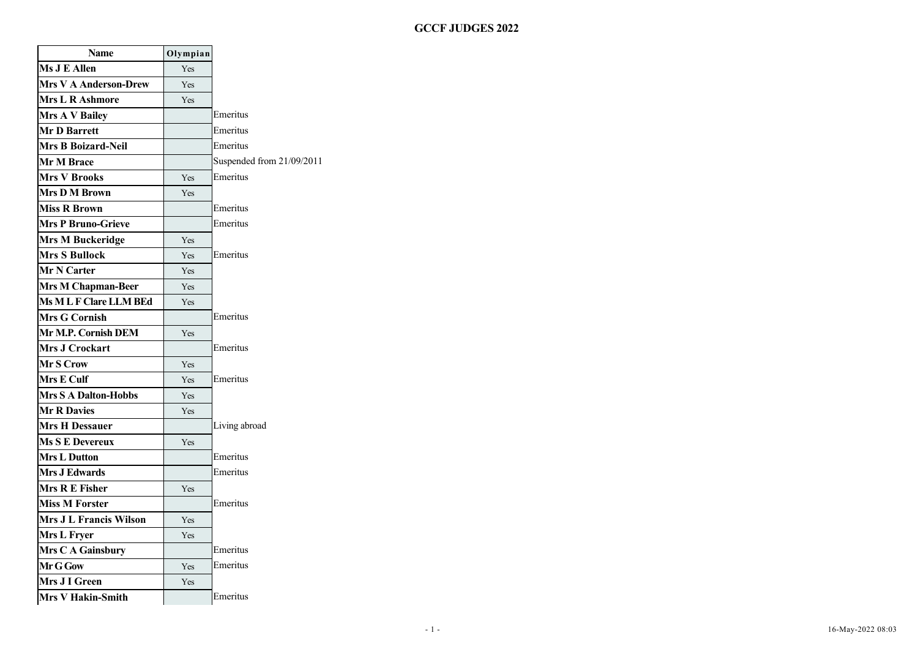# - 1 - 16-May-2022 08:03 **GCCF JUDGES 2022**

| <b>Name</b>                   | Olympian |                           |
|-------------------------------|----------|---------------------------|
| Ms J E Allen                  | Yes      |                           |
| <b>Mrs V A Anderson-Drew</b>  | Yes      |                           |
| <b>Mrs L R Ashmore</b>        | Yes      |                           |
| <b>Mrs A V Bailey</b>         |          | Emeritus                  |
| <b>Mr D Barrett</b>           |          | Emeritus                  |
| <b>Mrs B Boizard-Neil</b>     |          | Emeritus                  |
| <b>Mr M Brace</b>             |          | Suspended from 21/09/2011 |
| <b>Mrs V Brooks</b>           | Yes      | Emeritus                  |
| <b>Mrs D M Brown</b>          | Yes      |                           |
| <b>Miss R Brown</b>           |          | Emeritus                  |
| <b>Mrs P Bruno-Grieve</b>     |          | Emeritus                  |
| <b>Mrs M Buckeridge</b>       | Yes      |                           |
| <b>Mrs S Bullock</b>          | Yes      | Emeritus                  |
| Mr N Carter                   | Yes      |                           |
| Mrs M Chapman-Beer            | Yes      |                           |
| <b>Ms MLF Clare LLM BEd</b>   | Yes      |                           |
| <b>Mrs G Cornish</b>          |          | Emeritus                  |
| Mr M.P. Cornish DEM           | Yes      |                           |
| <b>Mrs J Crockart</b>         |          | Emeritus                  |
| Mr S Crow                     | Yes      |                           |
| Mrs E Culf                    | Yes      | Emeritus                  |
| <b>Mrs S A Dalton-Hobbs</b>   | Yes      |                           |
| <b>Mr R Davies</b>            | Yes      |                           |
| <b>Mrs H Dessauer</b>         |          | Living abroad             |
| <b>Ms S E Devereux</b>        | Yes      |                           |
| <b>Mrs L Dutton</b>           |          | Emeritus                  |
| <b>Mrs J Edwards</b>          |          | Emeritus                  |
| Mrs R E Fisher                | Yes      |                           |
| <b>Miss M Forster</b>         |          | Emeritus                  |
| <b>Mrs J L Francis Wilson</b> | Yes      |                           |
| Mrs L Fryer                   | Yes      |                           |
| Mrs C A Gainsbury             |          | Emeritus                  |
| Mr G Gow                      | Yes      | Emeritus                  |
| Mrs J I Green                 | Yes      |                           |
| <b>Mrs V Hakin-Smith</b>      |          | Emeritus                  |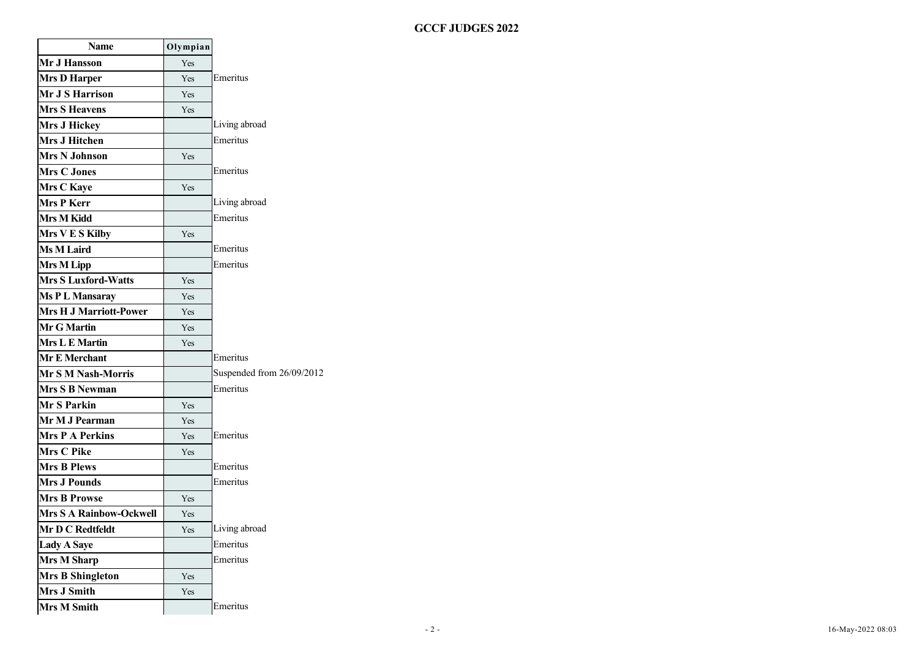# - 2 - 16-May-2022 08:03 **GCCF JUDGES 2022**

| <b>Name</b>                    | Olympian   |                           |
|--------------------------------|------------|---------------------------|
| Mr J Hansson                   | Yes        |                           |
| <b>Mrs D Harper</b>            | Yes        | Emeritus                  |
| Mr J S Harrison                | Yes        |                           |
| <b>Mrs S Heavens</b>           | Yes        |                           |
| Mrs J Hickey                   |            | Living abroad             |
| <b>Mrs J Hitchen</b>           |            | Emeritus                  |
| <b>Mrs N Johnson</b>           | Yes        |                           |
| <b>Mrs C Jones</b>             |            | Emeritus                  |
| <b>Mrs C Kaye</b>              | Yes        |                           |
| Mrs P Kerr                     |            | Living abroad             |
| Mrs M Kidd                     |            | Emeritus                  |
| Mrs V E S Kilby                | Yes        |                           |
| <b>Ms M Laird</b>              |            | Emeritus                  |
| <b>Mrs M Lipp</b>              |            | Emeritus                  |
| Mrs S Luxford-Watts            | Yes        |                           |
| Ms PL Mansaray                 | <b>Yes</b> |                           |
| <b>Mrs H J Marriott-Power</b>  | Yes        |                           |
| <b>Mr G Martin</b>             | Yes        |                           |
| <b>Mrs L E Martin</b>          | Yes        |                           |
| <b>Mr E Merchant</b>           |            | Emeritus                  |
| Mr S M Nash-Morris             |            | Suspended from 26/09/2012 |
| Mrs S B Newman                 |            | Emeritus                  |
| <b>Mr S Parkin</b>             | Yes        |                           |
| Mr M J Pearman                 | Yes        |                           |
| <b>Mrs P A Perkins</b>         | Yes        | Emeritus                  |
| <b>Mrs C Pike</b>              | Yes        |                           |
| <b>Mrs B Plews</b>             |            | Emeritus                  |
| <b>Mrs J Pounds</b>            |            | Emeritus                  |
| <b>Mrs B Prowse</b>            | Yes        |                           |
| <b>Mrs S A Rainbow-Ockwell</b> | Yes        |                           |
| Mr D C Redtfeldt               | Yes        | Living abroad             |
| <b>Lady A Saye</b>             |            | Emeritus                  |
| <b>Mrs M Sharp</b>             |            | Emeritus                  |
| <b>Mrs B Shingleton</b>        | Yes        |                           |
| <b>Mrs J Smith</b>             | Yes        |                           |
| <b>Mrs M Smith</b>             |            | Emeritus                  |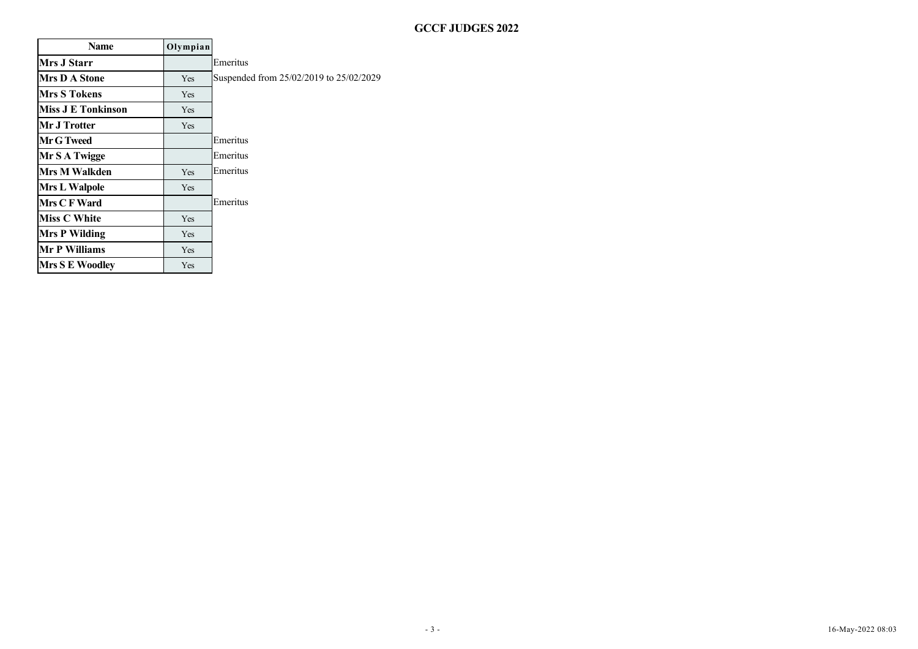# - 3 - 16-May-2022 08:03 **GCCF JUDGES 2022**

| <b>Name</b>               | Olympian   |                                         |
|---------------------------|------------|-----------------------------------------|
| <b>Mrs J Starr</b>        |            | Emeritus                                |
| <b>Mrs D A Stone</b>      | <b>Yes</b> | Suspended from 25/02/2019 to 25/02/2029 |
| <b>Mrs S Tokens</b>       | Yes        |                                         |
| <b>Miss J E Tonkinson</b> | Yes        |                                         |
| Mr J Trotter              | <b>Yes</b> |                                         |
| Mr G Tweed                |            | Emeritus                                |
| Mr S A Twigge             |            | Emeritus                                |
| Mrs M Walkden             | Yes        | Emeritus                                |
| <b>Mrs L Walpole</b>      | <b>Yes</b> |                                         |
| Mrs C F Ward              |            | Emeritus                                |
| <b>Miss C White</b>       | Yes        |                                         |
| <b>Mrs P Wilding</b>      | Yes        |                                         |
| <b>Mr P Williams</b>      | <b>Yes</b> |                                         |
| <b>Mrs S E Woodley</b>    | <b>Yes</b> |                                         |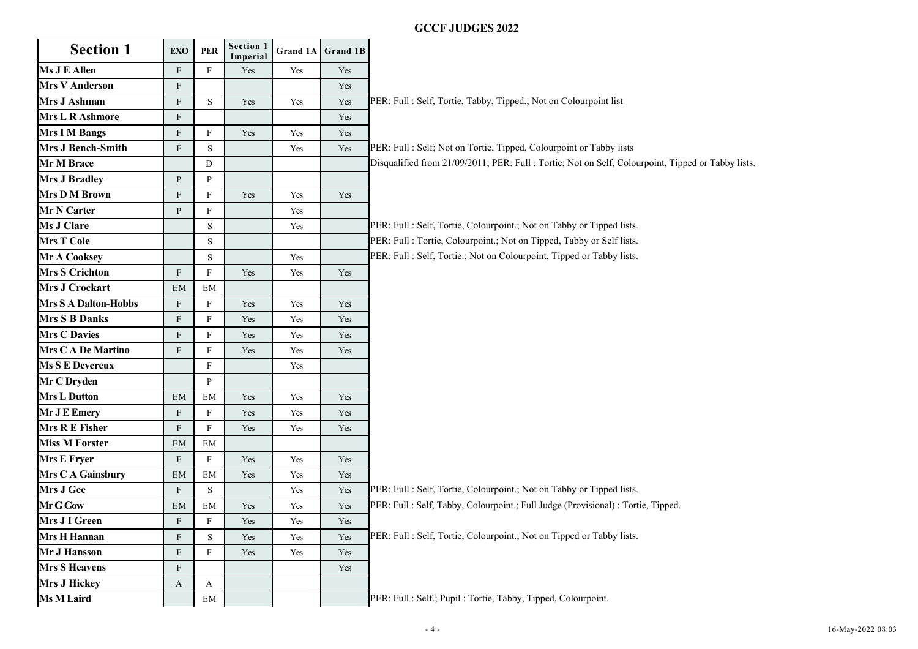|                             |                           |              |                       |                      |                   | <b>GCCF JUDGES 2022</b>                                                                            |
|-----------------------------|---------------------------|--------------|-----------------------|----------------------|-------------------|----------------------------------------------------------------------------------------------------|
| <b>Section 1</b>            | <b>EXO</b>                | <b>PER</b>   | Section 1<br>Imperial |                      | Grand 1A Grand 1B |                                                                                                    |
| Ms J E Allen                | $\mathbf{F}$              | $_{\rm F}$   | Yes                   | Yes                  | Yes               |                                                                                                    |
| <b>Mrs V Anderson</b>       | F                         |              |                       |                      | Yes               |                                                                                                    |
| Mrs J Ashman                | $\rm F$                   | S            | Yes                   | Yes                  | Yes               | PER: Full : Self, Tortie, Tabby, Tipped.; Not on Colourpoint list                                  |
| <b>Mrs L R Ashmore</b>      | F                         |              |                       |                      | Yes               |                                                                                                    |
| <b>Mrs I M Bangs</b>        | $\mathbf{F}$              | $_{\rm F}$   | Yes                   | Yes                  | Yes               |                                                                                                    |
| Mrs J Bench-Smith           | $\rm F$                   | S            |                       | Yes                  | Yes               | PER: Full : Self; Not on Tortie, Tipped, Colourpoint or Tabby lists                                |
| Mr M Brace                  |                           | D            |                       |                      |                   | Disqualified from 21/09/2011; PER: Full : Tortie; Not on Self, Colourpoint, Tipped or Tabby lists. |
| <b>Mrs J Bradley</b>        | $\mathbf{P}$              | P            |                       |                      |                   |                                                                                                    |
| Mrs D M Brown               | F                         | F            | Yes                   | Yes                  | Yes               |                                                                                                    |
| Mr N Carter                 | $\mathbf{P}$              | $\mathbf F$  |                       | Yes                  |                   |                                                                                                    |
| <b>Ms J Clare</b>           |                           | S            |                       | Yes                  |                   | PER: Full : Self, Tortie, Colourpoint.; Not on Tabby or Tipped lists.                              |
| <b>Mrs T Cole</b>           |                           | S            |                       |                      |                   | PER: Full : Tortie, Colourpoint.; Not on Tipped, Tabby or Self lists.                              |
| Mr A Cooksey                |                           | S            |                       | Yes                  |                   | PER: Full : Self, Tortie.; Not on Colourpoint, Tipped or Tabby lists.                              |
| <b>Mrs S Crichton</b>       | $\boldsymbol{\mathrm{F}}$ | $_{\rm F}$   | Yes                   | Yes                  | Yes               |                                                                                                    |
| Mrs J Crockart              | EM                        | EM           |                       |                      |                   |                                                                                                    |
| <b>Mrs S A Dalton-Hobbs</b> | $\mathbf{F}$              | F            | Yes                   | Yes                  | Yes               |                                                                                                    |
| <b>Mrs S B Danks</b>        | F                         | F            | Yes                   | Yes                  | Yes               |                                                                                                    |
| <b>Mrs C Davies</b>         | F                         | F            | Yes                   | Yes                  | Yes               |                                                                                                    |
| <b>Mrs C A De Martino</b>   | $\rm F$                   | $_{\rm F}$   | Yes                   | Yes                  | Yes               |                                                                                                    |
| <b>Ms S E Devereux</b>      |                           | $\mathbf{F}$ |                       | Yes                  |                   |                                                                                                    |
| Mr C Dryden                 |                           | P            |                       |                      |                   |                                                                                                    |
| <b>Mrs L Dutton</b>         | EM                        | EM           | Yes                   | Yes                  | Yes               |                                                                                                    |
| Mr J E Emery                | $\mathbf{F}$              | F            | Yes                   | Yes                  | Yes               |                                                                                                    |
| Mrs R E Fisher              | $\boldsymbol{\mathrm{F}}$ | F            | Yes                   | Yes                  | Yes               |                                                                                                    |
| <b>Miss M Forster</b>       | EM                        | EM           |                       |                      |                   |                                                                                                    |
| <b>Mrs E Fryer</b>          | $\mathbf{F}$              | $\mathbf{F}$ | Yes                   | Yes                  | Yes               |                                                                                                    |
| Mrs C A Gainsbury           | EM                        | EM           | Yes                   | Yes                  | Yes               |                                                                                                    |
| <b>Mrs J Gee</b>            | F                         | S            |                       | Yes                  | Yes               | PER: Full : Self, Tortie, Colourpoint.; Not on Tabby or Tipped lists.                              |
| Mr G Gow                    | EM                        | EM           | Yes                   | Yes                  | Yes               | PER: Full : Self, Tabby, Colourpoint.; Full Judge (Provisional) : Tortie, Tipped.                  |
| Mrs J I Green               | F                         | $\rm F$      | Yes                   | Yes                  | Yes               |                                                                                                    |
| <b>Mrs H Hannan</b>         | F                         | S            | Yes                   | $\operatorname{Yes}$ | Yes               | PER: Full : Self, Tortie, Colourpoint.; Not on Tipped or Tabby lists.                              |
| <b>Mr J Hansson</b>         | $\mathbf{F}$              | F            | Yes                   | Yes                  | Yes               |                                                                                                    |
| <b>Mrs S Heavens</b>        | $\boldsymbol{F}$          |              |                       |                      | Yes               |                                                                                                    |
| <b>Mrs J Hickey</b>         | $\mathbf{A}$              | A            |                       |                      |                   |                                                                                                    |
| <b>Ms M Laird</b>           |                           | $\rm{EM}$    |                       |                      |                   | PER: Full : Self.; Pupil : Tortie, Tabby, Tipped, Colourpoint.                                     |
|                             |                           |              |                       |                      |                   | $-4-$<br>16-May-2022 08:03                                                                         |
|                             |                           |              |                       |                      |                   |                                                                                                    |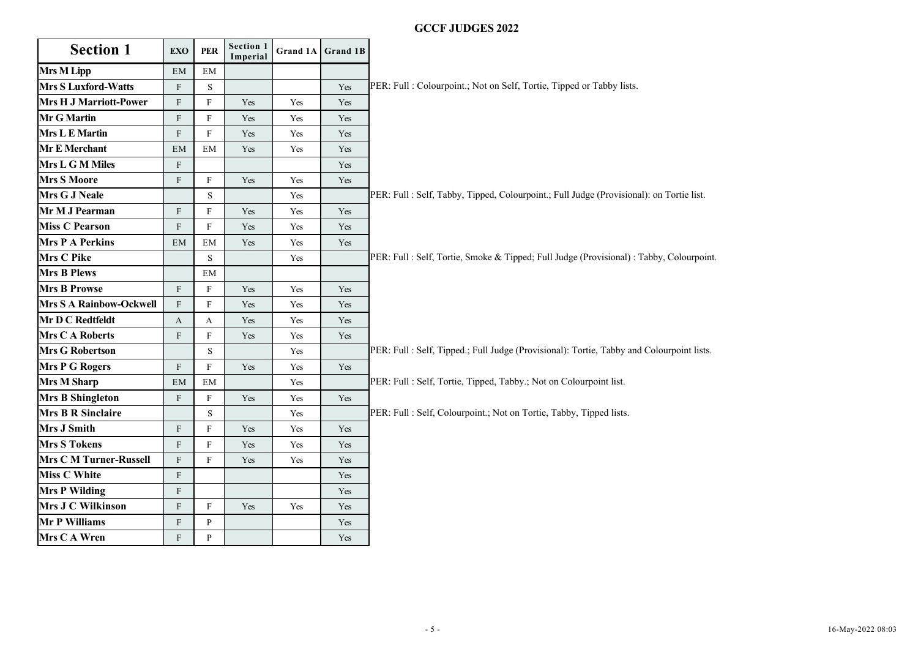|                                |               |             |                       |                      |                      | <b>GCCF JUDGES 2022</b>                                                                   |
|--------------------------------|---------------|-------------|-----------------------|----------------------|----------------------|-------------------------------------------------------------------------------------------|
| <b>Section 1</b>               | <b>EXO</b>    | <b>PER</b>  | Section 1<br>Imperial |                      | Grand 1A Grand 1B    |                                                                                           |
| <b>Mrs M Lipp</b>              | EM            | ΕM          |                       |                      |                      |                                                                                           |
| <b>Mrs S Luxford-Watts</b>     | F             | S           |                       |                      | Yes                  | PER: Full : Colourpoint.; Not on Self, Tortie, Tipped or Tabby lists.                     |
| <b>Mrs H J Marriott-Power</b>  | F             | F           | Yes                   | Yes                  | Yes                  |                                                                                           |
| Mr G Martin                    | F             | F           | Yes                   | Yes                  | Yes                  |                                                                                           |
| <b>Mrs L E Martin</b>          | F             | F           | Yes                   | Yes                  | $\operatorname{Yes}$ |                                                                                           |
| Mr E Merchant                  | $\mathrm{EM}$ | EM          | Yes                   | Yes                  | Yes                  |                                                                                           |
| Mrs L G M Miles                | F             |             |                       |                      | Yes                  |                                                                                           |
| <b>Mrs S Moore</b>             | F             | F           | Yes                   | Yes                  | Yes                  |                                                                                           |
| Mrs G J Neale                  |               | $\mathbf S$ |                       | Yes                  |                      | PER: Full : Self, Tabby, Tipped, Colourpoint.; Full Judge (Provisional): on Tortie list.  |
| Mr M J Pearman                 | $\mathbf F$   | F           | Yes                   | Yes                  | Yes                  |                                                                                           |
| <b>Miss C Pearson</b>          | $\mathbf F$   | F           | Yes                   | Yes                  | Yes                  |                                                                                           |
| <b>Mrs P A Perkins</b>         | $\mathrm{EM}$ | EM          | Yes                   | Yes                  | Yes                  |                                                                                           |
| Mrs C Pike                     |               | $\mathbf S$ |                       | Yes                  |                      | PER: Full : Self, Tortie, Smoke & Tipped; Full Judge (Provisional) : Tabby, Colourpoint.  |
| <b>Mrs B Plews</b>             |               | EM          |                       |                      |                      |                                                                                           |
| <b>Mrs B Prowse</b>            | F             | F           | Yes                   | Yes                  | Yes                  |                                                                                           |
| <b>Mrs S A Rainbow-Ockwell</b> | F             | F           | Yes                   | Yes                  | Yes                  |                                                                                           |
| Mr D C Redtfeldt               | A             | A           | Yes                   | Yes                  | Yes                  |                                                                                           |
| <b>Mrs C A Roberts</b>         | $\mathbf F$   | F           | Yes                   | Yes                  | Yes                  |                                                                                           |
| <b>Mrs G Robertson</b>         |               | $\mathbf S$ |                       | Yes                  |                      | PER: Full : Self, Tipped.; Full Judge (Provisional): Tortie, Tabby and Colourpoint lists. |
| <b>Mrs P G Rogers</b>          | F             | F           | Yes                   | $\operatorname{Yes}$ | Yes                  |                                                                                           |
| <b>Mrs M Sharp</b>             | EM            | EM          |                       | Yes                  |                      | PER: Full : Self, Tortie, Tipped, Tabby.; Not on Colourpoint list.                        |
| <b>Mrs B Shingleton</b>        | $\mathbf{F}$  | F           | Yes                   | Yes                  | Yes                  |                                                                                           |
| <b>Mrs B R Sinclaire</b>       |               | ${\bf S}$   |                       | Yes                  |                      | PER: Full : Self, Colourpoint.; Not on Tortie, Tabby, Tipped lists.                       |
| Mrs J Smith                    | $\mathbf F$   | F           | Yes                   | $\operatorname{Yes}$ | Yes                  |                                                                                           |
| <b>Mrs S Tokens</b>            | $\mathbf{F}$  | F           | Yes                   | Yes                  | Yes                  |                                                                                           |
| <b>Mrs C M Turner-Russell</b>  | $\mathbf F$   | F           | Yes                   | Yes                  | Yes                  |                                                                                           |
| <b>Miss C White</b>            | $\mathbf F$   |             |                       |                      | Yes                  |                                                                                           |
| <b>Mrs P Wilding</b>           | $\mathbf{F}$  |             |                       |                      | Yes                  |                                                                                           |
| Mrs J C Wilkinson              | $\mathbf F$   | F           | Yes                   | Yes                  | Yes                  |                                                                                           |
| Mr P Williams                  | $\mathbf{F}$  | P           |                       |                      | Yes                  |                                                                                           |
|                                | $\mathbf{F}$  | P           |                       |                      | Yes                  |                                                                                           |
| Mrs C A Wren                   |               |             |                       |                      |                      |                                                                                           |
|                                |               |             |                       |                      |                      | 16-May-2022 08:03<br>$-5 -$                                                               |

r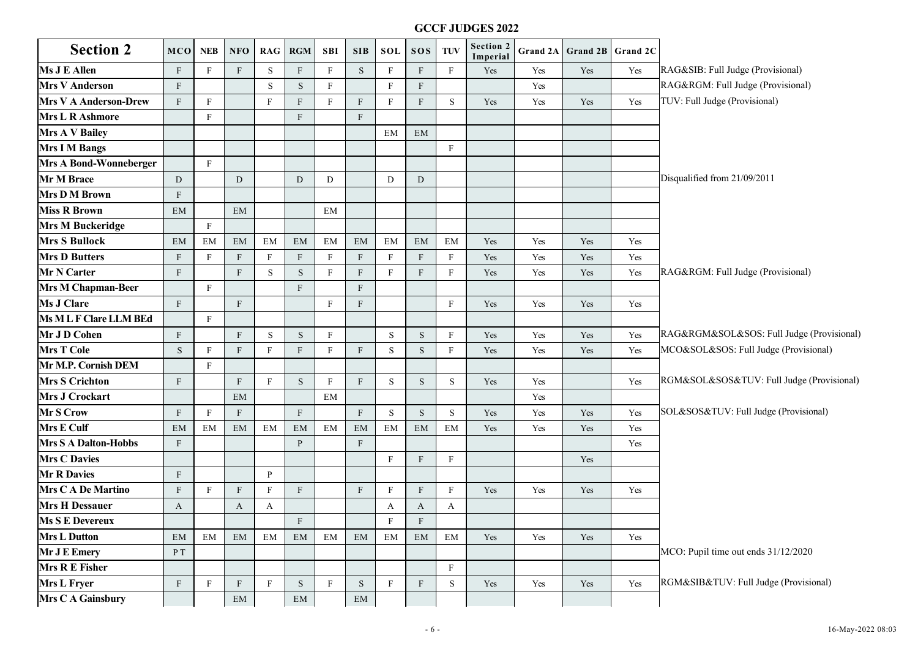|                               |              |              |                           |               |               |              |               |              |                  |              | <b>GCCF JUDGES 2022</b>      |          |          |          |                                           |
|-------------------------------|--------------|--------------|---------------------------|---------------|---------------|--------------|---------------|--------------|------------------|--------------|------------------------------|----------|----------|----------|-------------------------------------------|
| <b>Section 2</b>              | <b>MCO</b>   | <b>NEB</b>   | <b>NFO</b>                |               | RAG RGM       | <b>SBI</b>   | <b>SIB</b>    | <b>SOL</b>   | <b>SOS</b>       | <b>TUV</b>   | <b>Section 2</b><br>Imperial | Grand 2A | Grand 2B | Grand 2C |                                           |
| <b>Ms J E Allen</b>           | F            | F            | $\mathbf F$               | S             | F             | $_{\rm F}$   | ${\bf S}$     | $_{\rm F}$   | $\boldsymbol{F}$ | $\mathbf{F}$ | Yes                          | Yes      | Yes      | Yes      | RAG&SIB: Full Judge (Provisional)         |
| <b>Mrs V Anderson</b>         | F            |              |                           | S             | S             | $_{\rm F}$   |               | F            | $\mathbf{F}$     |              |                              | Yes      |          |          | RAG&RGM: Full Judge (Provisional)         |
| <b>Mrs V A Anderson-Drew</b>  | $\mathbf{F}$ | F            |                           | F             | F             | F            | $\rm F$       | F            | F                | S            | Yes                          | Yes      | Yes      | Yes      | TUV: Full Judge (Provisional)             |
| <b>Mrs L R Ashmore</b>        |              | F            |                           |               | F             |              | F             |              |                  |              |                              |          |          |          |                                           |
| <b>Mrs A V Bailey</b>         |              |              |                           |               |               |              |               | EM           | EM               |              |                              |          |          |          |                                           |
| <b>Mrs I M Bangs</b>          |              |              |                           |               |               |              |               |              |                  | F            |                              |          |          |          |                                           |
| <b>Mrs A Bond-Wonneberger</b> |              | F            |                           |               |               |              |               |              |                  |              |                              |          |          |          |                                           |
| Mr M Brace                    | D            |              | D                         |               | D             | D            |               | D            | D                |              |                              |          |          |          | Disqualified from 21/09/2011              |
| <b>Mrs D M Brown</b>          | $\mathbf{F}$ |              |                           |               |               |              |               |              |                  |              |                              |          |          |          |                                           |
| <b>Miss R Brown</b>           | EM           |              | EM                        |               |               | EM           |               |              |                  |              |                              |          |          |          |                                           |
| <b>Mrs M Buckeridge</b>       |              | F            |                           |               |               |              |               |              |                  |              |                              |          |          |          |                                           |
| <b>Mrs S Bullock</b>          | EM           | EM           | EM                        | EM            | EM            | EM           | EM            | EM           | EM               | EM           | Yes                          | Yes      | Yes      | Yes      |                                           |
| <b>Mrs D Butters</b>          | $\mathbf{F}$ | $\mathbf{F}$ | $\boldsymbol{\mathrm{F}}$ | $\mathbf{F}$  | F             | $_{\rm F}$   | $\rm F$       | $_{\rm F}$   | $\mathbf F$      | $\mathbf{F}$ | Yes                          | Yes      | Yes      | Yes      |                                           |
| Mr N Carter                   | F            |              | F                         | S             | S             | $_{\rm F}$   | $\rm F$       | $_{\rm F}$   | F                | $_{\rm F}$   | Yes                          | Yes      | Yes      | Yes      | RAG&RGM: Full Judge (Provisional)         |
| <b>Mrs M Chapman-Beer</b>     |              | F            |                           |               | F             |              | $\rm F$       |              |                  |              |                              |          |          |          |                                           |
| <b>Ms J Clare</b>             | F            |              | F                         |               |               | F            | $\mathbf{F}$  |              |                  | $\mathbf{F}$ | Yes                          | Yes      | Yes      | Yes      |                                           |
| Ms M L F Clare LLM BEd        |              | F            |                           |               |               |              |               |              |                  |              |                              |          |          |          |                                           |
| Mr J D Cohen                  | F            |              | $\mathbf{F}$              | S             | S             | F            |               | S            | S                | F            | Yes                          | Yes      | Yes      | Yes      | RAG&RGM&SOL&SOS: Full Judge (Provisional) |
| <b>Mrs T Cole</b>             | $\mathbf S$  | F            | $\mathbf F$               | F             | F             | F            | $\rm F$       | S            | $\mathbf S$      | $_{\rm F}$   | Yes                          | Yes      | Yes      | Yes      | MCO&SOL&SOS: Full Judge (Provisional)     |
| Mr M.P. Cornish DEM           |              | $\mathbf{F}$ |                           |               |               |              |               |              |                  |              |                              |          |          |          |                                           |
| <b>Mrs S Crichton</b>         | F            |              | $\mathbf{F}$              | F             | S.            | F            | $\rm F$       | S            | S                | S            | Yes                          | Yes      |          | Yes      | RGM&SOL&SOS&TUV: Full Judge (Provisional) |
| <b>Mrs J Crockart</b>         |              |              | EM                        |               |               | EM           |               |              |                  |              |                              | Yes      |          |          |                                           |
| Mr S Crow                     | $\mathbf{F}$ | F            | $\mathbf F$               |               | F             |              | $\rm F$       | S            | S                | S            | Yes                          | Yes      | Yes      | Yes      | SOL&SOS&TUV: Full Judge (Provisional)     |
| <b>Mrs E Culf</b>             | EM           | EM           | EM                        | EM            | EM            | EM           | EM            | EM           | EM               | EM           | Yes                          | Yes      | Yes      | Yes      |                                           |
| <b>Mrs S A Dalton-Hobbs</b>   | $\mathbf{F}$ |              |                           |               | P             |              | $\mathbf{F}$  |              |                  |              |                              |          |          | Yes      |                                           |
| <b>Mrs C Davies</b>           |              |              |                           |               |               |              |               | $_{\rm F}$   | F                | F            |                              |          | Yes      |          |                                           |
| <b>Mr R Davies</b>            | F            |              |                           | P             |               |              |               |              |                  |              |                              |          |          |          |                                           |
| <b>Mrs C A De Martino</b>     | $\mathbf{F}$ | $\mathbf{F}$ | F                         | F             | F             |              | $\mathbf{F}$  | F            | F                | $\mathbf{F}$ | Yes                          | Yes      | Yes      | Yes      |                                           |
| <b>Mrs H Dessauer</b>         | A            |              | A                         | A             |               |              |               | A            | A                | A            |                              |          |          |          |                                           |
| <b>Ms S E Devereux</b>        |              |              |                           |               | F             |              |               | $\mathbf{F}$ | F                |              |                              |          |          |          |                                           |
| <b>Mrs L Dutton</b>           | EM           | EM           | EM                        | $\mathrm{EM}$ | $\mathrm{EM}$ | EM           | EM            | EM           | EM               | EM           | Yes                          | Yes      | Yes      | Yes      |                                           |
| Mr J E Emery                  | P T          |              |                           |               |               |              |               |              |                  |              |                              |          |          |          | MCO: Pupil time out ends 31/12/2020       |
| Mrs R E Fisher                |              |              |                           |               |               |              |               |              |                  | $\mathbf{F}$ |                              |          |          |          |                                           |
| Mrs L Fryer                   | $\mathbf{F}$ | $\mathbf{F}$ | $\mathbf{F}$              | $\mathbf F$   | ${\bf S}$     | $\mathbf{F}$ | $\mathbf S$   | $\mathbf F$  | $\mathbf F$      | S            | Yes                          | Yes      | Yes      | Yes      | RGM&SIB&TUV: Full Judge (Provisional)     |
| <b>Mrs C A Gainsbury</b>      |              |              | $\mathrm{EM}$             |               | $\mathrm{EM}$ |              | $\mathrm{EM}$ |              |                  |              |                              |          |          |          |                                           |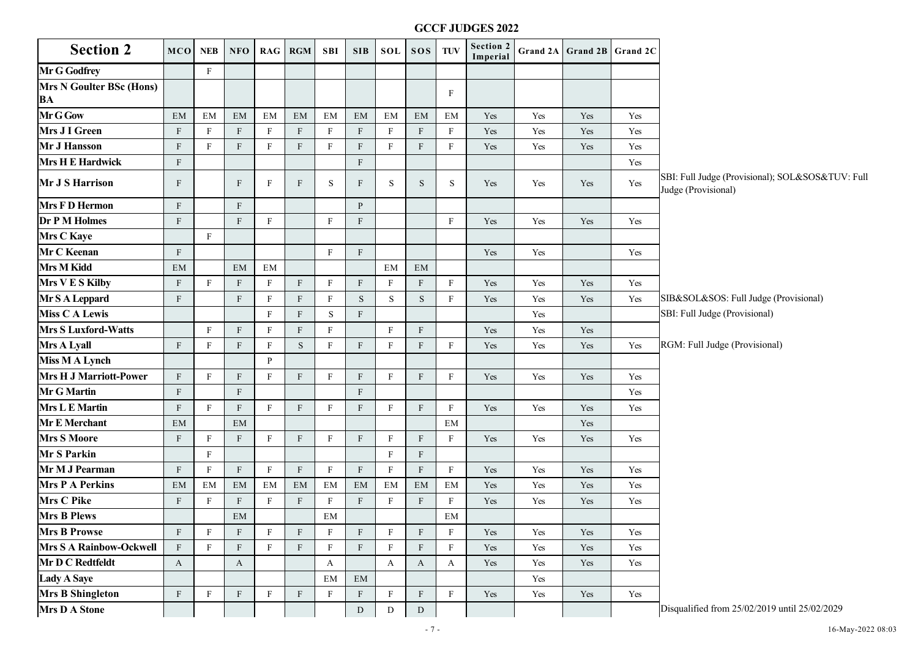|                                              |              |              |                           |              |              |              |                  |              |                  |              | <b>GCCF JUDGES 2022</b>      |          |                   |                      |                                                                         |
|----------------------------------------------|--------------|--------------|---------------------------|--------------|--------------|--------------|------------------|--------------|------------------|--------------|------------------------------|----------|-------------------|----------------------|-------------------------------------------------------------------------|
| <b>Section 2</b>                             | <b>MCO</b>   | <b>NEB</b>   | NFO                       |              | RAG RGM      | <b>SBI</b>   | <b>SIB</b>       | SOL          | SOS              | TUV          | <b>Section 2</b><br>Imperial | Grand 2A | Grand 2B Grand 2C |                      |                                                                         |
| <b>Mr G Godfrey</b>                          |              | F            |                           |              |              |              |                  |              |                  |              |                              |          |                   |                      |                                                                         |
| <b>Mrs N Goulter BSc (Hons)</b><br><b>BA</b> |              |              |                           |              |              |              |                  |              |                  | F            |                              |          |                   |                      |                                                                         |
| Mr G Gow                                     | EM           | EM           | EM                        | EM           | EM           | EM           | EM               | EM           | EM               | EM           | Yes                          | Yes      | Yes               | Yes                  |                                                                         |
| Mrs J I Green                                | $\mathbf{F}$ | $_{\rm F}$   | ${\rm F}$                 | $_{\rm F}$   | F            | F            | $\mathbf{F}$     | F            | $\boldsymbol{F}$ | $\mathbf{F}$ | Yes                          | Yes      | Yes               | Yes                  |                                                                         |
| Mr J Hansson                                 | $\mathbf{F}$ | F            | $\mathbf{F}$              | $\mathbf{F}$ | $\mathbf{F}$ | $_{\rm F}$   | ${\bf F}$        | $_{\rm F}$   | $\mathbf{F}$     | $\mathbf{F}$ | Yes                          | Yes      | Yes               | Yes                  |                                                                         |
| <b>Mrs H E Hardwick</b>                      | $\mathbf{F}$ |              |                           |              |              |              | $\rm F$          |              |                  |              |                              |          |                   | Yes                  |                                                                         |
| <b>Mr J S Harrison</b>                       | $\mathbf{F}$ |              | ${\rm F}$                 | $_{\rm F}$   | $\mathbf{F}$ | S            | $\mathbf{F}$     | S            | S                | S            | Yes                          | Yes      | Yes               | Yes                  | SBI: Full Judge (Provisional); SOL&SOS&TUV: Full<br>Judge (Provisional) |
| <b>Mrs F D Hermon</b>                        | $\mathbf{F}$ |              | $\mathbf F$               |              |              |              | $\mathbf{P}$     |              |                  |              |                              |          |                   |                      |                                                                         |
| <b>Dr P M Holmes</b>                         | $\mathbf{F}$ |              | $\mathbf F$               | $\mathbf{F}$ |              | $_{\rm F}$   | $\rm F$          |              |                  | $\mathbf{F}$ | Yes                          | Yes      | Yes               | Yes                  |                                                                         |
| <b>Mrs C Kaye</b>                            |              | F            |                           |              |              |              |                  |              |                  |              |                              |          |                   |                      |                                                                         |
| Mr C Keenan                                  | $\mathbf{F}$ |              |                           |              |              | $_{\rm F}$   | $\rm F$          |              |                  |              | Yes                          | Yes      |                   | Yes                  |                                                                         |
| Mrs M Kidd                                   | EM           |              | EM                        | EM           |              |              |                  | EM           | EM               |              |                              |          |                   |                      |                                                                         |
| Mrs V E S Kilby                              | $\mathbf{F}$ | $\mathbf{F}$ | ${\rm F}$                 | $\mathbf{F}$ | $\mathbf{F}$ | F            | $\rm F$          | $_{\rm F}$   | $\mathbf F$      | $\mathbf{F}$ | Yes                          | Yes      | Yes               | Yes                  |                                                                         |
| Mr S A Leppard                               | $\mathbf{F}$ |              | F                         | $_{\rm F}$   | F            | F            | ${\bf S}$        | S            | $\mathbf S$      | $\mathbf{F}$ | Yes                          | Yes      | Yes               | Yes                  | SIB&SOL&SOS: Full Judge (Provisional)                                   |
| <b>Miss C A Lewis</b>                        |              |              |                           | $\mathbf{F}$ | $\mathbf{F}$ | S            | $\rm F$          |              |                  |              |                              | Yes      |                   |                      | SBI: Full Judge (Provisional)                                           |
| <b>Mrs S Luxford-Watts</b>                   |              | F            | ${\rm F}$                 | $\mathbf{F}$ | F            | F            |                  | $_{\rm F}$   | $\mathbf{F}$     |              | Yes                          | Yes      | Yes               |                      |                                                                         |
| Mrs A Lyall                                  | $\mathbf{F}$ | F            | $\mathbf{F}$              | $\mathbf{F}$ | S.           | F            | $\rm F$          | F            | $\mathbf{F}$     | F            | Yes                          | Yes      | Yes               | Yes                  | RGM: Full Judge (Provisional)                                           |
| <b>Miss M A Lynch</b>                        |              |              |                           | P            |              |              |                  |              |                  |              |                              |          |                   |                      |                                                                         |
| <b>Mrs H J Marriott-Power</b>                | $\mathbf{F}$ | F            | $\mathbf F$               | F            | $\mathbf{F}$ | $_{\rm F}$   | $\rm F$          | F            | $\mathbf{F}$     | $_{\rm F}$   | Yes                          | Yes      | Yes               | Yes                  |                                                                         |
| <b>Mr G Martin</b>                           | $\mathbf{F}$ |              | $\mathbf{F}$              |              |              |              | $\rm F$          |              |                  |              |                              |          |                   | Yes                  |                                                                         |
| <b>Mrs L E Martin</b>                        | F            | $\mathbf{F}$ | ${\rm F}$                 | $\mathbf{F}$ | F            | $_{\rm F}$   | $\rm F$          | $\mathbf{F}$ | $\mathbf{F}$     | $\mathbf{F}$ | Yes                          | Yes      | Yes               | Yes                  |                                                                         |
| <b>Mr E Merchant</b>                         | EM           |              | EM                        |              |              |              |                  |              |                  | EM           |                              |          | Yes               |                      |                                                                         |
| <b>Mrs S Moore</b>                           | $\mathbf{F}$ | $\mathbf{F}$ | $\mathbf{F}$              | F            | F            | $_{\rm F}$   | $\rm F$          | F            | $\mathbf{F}$     | F            | Yes                          | Yes      | Yes               | Yes                  |                                                                         |
| <b>Mr S Parkin</b>                           |              | $\mathbf{F}$ |                           |              |              |              |                  | F            | F                |              |                              |          |                   |                      |                                                                         |
| Mr M J Pearman                               | $\mathbf{F}$ | $_{\rm F}$   | $\mathbf{F}$              | $\mathbf{F}$ | F            | $_{\rm F}$   | $\rm F$          | $_{\rm F}$   | $\mathbf F$      | $\mathbf{F}$ | Yes                          | Yes      | Yes               | Yes                  |                                                                         |
| <b>Mrs P A Perkins</b>                       | EM           | EM           | EM                        | EM           | EM           | EM           | EM               | EM           | EM               | EM           | Yes                          | Yes      | Yes               | Yes                  |                                                                         |
| <b>Mrs C Pike</b>                            | F            | F            | ${\rm F}$                 | F            | F            | $_{\rm F}$   | $\rm F$          | $_{\rm F}$   | $\mathbf{F}$     | $\mathbf{F}$ | Yes                          | Yes      | Yes               | Yes                  |                                                                         |
| Mrs B Plews                                  |              |              | EM                        |              |              | ΕM           |                  |              |                  | EМ           |                              |          |                   |                      |                                                                         |
| <b>Mrs B Prowse</b>                          | F            | $\mathbf{F}$ | $\mathbf{F}$              | $\mathbf{F}$ | F            | $\mathbf{F}$ | $\rm F$          | $\mathbf{F}$ | $\mathbf{F}$     | $\mathbf{F}$ | Yes                          | Yes      | Yes               | Yes                  |                                                                         |
| <b>Mrs S A Rainbow-Ockwell</b>               | F            | $\mathbf{F}$ | F                         | F            | F            | F            | $\rm F$          | $\mathbf{F}$ | $\mathbf{F}$     | $\mathbf{F}$ | Yes                          | Yes      | Yes               | Yes                  |                                                                         |
| Mr D C Redtfeldt                             | A            |              | A                         |              |              | A            |                  | A            | A                | A            | Yes                          | Yes      | Yes               | $\operatorname{Yes}$ |                                                                         |
| Lady A Saye                                  |              |              |                           |              |              | EM           | EM               |              |                  |              |                              | Yes      |                   |                      |                                                                         |
| <b>Mrs B Shingleton</b>                      | $\mathbf{F}$ | $\mathbf{F}$ | $\boldsymbol{\mathrm{F}}$ | $\mathbf{F}$ | F            | F            | $\boldsymbol{F}$ | $\mathbf{F}$ | $\mathbf{F}$     | $\mathbf{F}$ | Yes                          | Yes      | Yes               | Yes                  |                                                                         |
| <b>Mrs D A Stone</b>                         |              |              |                           |              |              |              | ${\rm D}$        | ${\rm D}$    | ${\rm D}$        |              |                              |          |                   |                      | Disqualified from 25/02/2019 until 25/02/2029                           |
|                                              |              |              |                           |              |              |              |                  |              | $-7-$            |              |                              |          |                   |                      | 16-May-2022 08:03                                                       |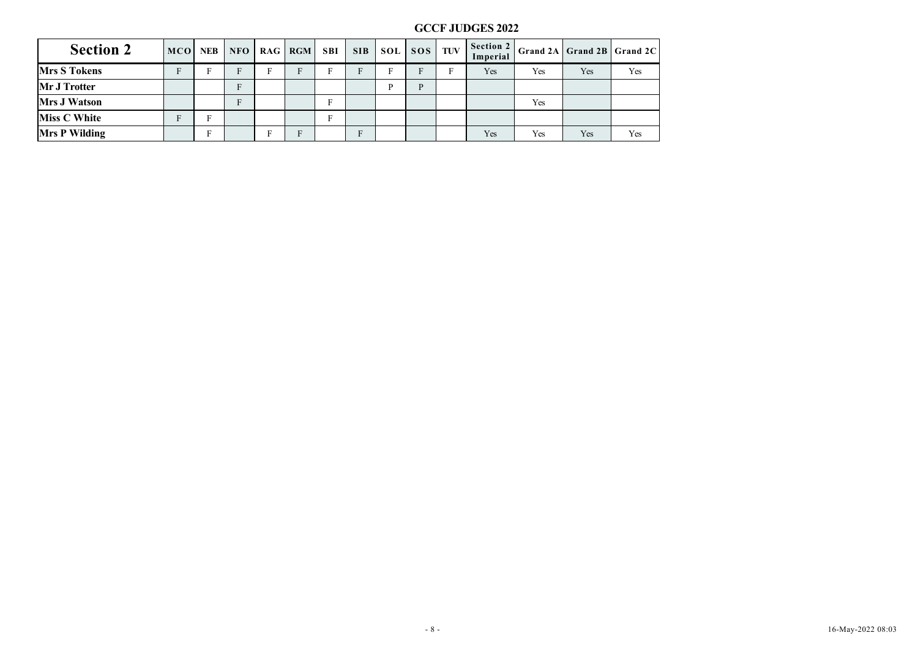|                      |             |             |              |              |             |              |             |              |              |             | <b>GCCF JUDGES 2022</b> |     |                            |                      |  |  |
|----------------------|-------------|-------------|--------------|--------------|-------------|--------------|-------------|--------------|--------------|-------------|-------------------------|-----|----------------------------|----------------------|--|--|
| <b>Section 2</b>     |             | MCO NEB     | NFO          |              | RAG RGM     | <b>SBI</b>   | <b>SIB</b>  | SOL          | SOS TUV      |             | Section 2<br>Imperial   |     | Grand 2A Grand 2B Grand 2C |                      |  |  |
| <b>Mrs S Tokens</b>  | $\mathbf F$ | $\mathbf F$ | $\, {\bf F}$ | $\, {\bf F}$ | $\mathbf F$ | $\, {\rm F}$ | $\mathbf F$ | ${\bf F}$    | $\mathbf F$  | $\mathbf F$ | $\operatorname{Yes}$    | Yes | Yes                        | Yes                  |  |  |
| Mr J Trotter         |             |             | $\rm F$      |              |             |              |             | $\, {\bf P}$ | $\, {\bf P}$ |             |                         |     |                            |                      |  |  |
| <b>Mrs J Watson</b>  |             |             | $\rm F$      |              |             | $\mathbf F$  |             |              |              |             |                         | Yes |                            |                      |  |  |
| <b>Miss C White</b>  | $\rm F$     | $\mathbf F$ |              |              |             | $\mathbf F$  |             |              |              |             |                         |     |                            |                      |  |  |
| <b>Mrs P Wilding</b> |             | $\rm F$     |              | ${\bf F}$    | $\mathbf F$ |              | $\mathbf F$ |              |              |             | $\operatorname{Yes}$    | Yes | Yes                        | $\operatorname{Yes}$ |  |  |
|                      |             |             |              |              |             |              |             |              |              |             |                         |     |                            |                      |  |  |
|                      |             |             |              |              |             |              |             |              |              |             |                         |     |                            |                      |  |  |
|                      |             |             |              |              |             |              |             |              |              |             |                         |     |                            |                      |  |  |
|                      |             |             |              |              |             |              |             |              |              |             |                         |     |                            |                      |  |  |
|                      |             |             |              |              |             |              |             |              |              |             |                         |     |                            |                      |  |  |
|                      |             |             |              |              |             |              |             |              |              |             |                         |     |                            |                      |  |  |
|                      |             |             |              |              |             |              |             |              |              |             |                         |     |                            |                      |  |  |
|                      |             |             |              |              |             |              |             |              |              |             |                         |     |                            |                      |  |  |
|                      |             |             |              |              |             |              |             |              |              |             |                         |     |                            |                      |  |  |
|                      |             |             |              |              |             |              |             |              |              |             |                         |     |                            |                      |  |  |
|                      |             |             |              |              |             |              |             |              |              |             |                         |     |                            |                      |  |  |
|                      |             |             |              |              |             |              |             |              |              |             |                         |     |                            |                      |  |  |
|                      |             |             |              |              |             |              |             |              |              |             |                         |     |                            |                      |  |  |
|                      |             |             |              |              |             |              |             |              |              |             |                         |     |                            |                      |  |  |
|                      |             |             |              |              |             |              |             |              |              |             |                         |     |                            |                      |  |  |
|                      |             |             |              |              |             |              |             |              |              |             |                         |     |                            |                      |  |  |
|                      |             |             |              |              |             |              |             |              |              |             |                         |     |                            |                      |  |  |
|                      |             |             |              |              |             |              |             |              |              |             |                         |     |                            |                      |  |  |
|                      |             |             |              |              |             |              |             |              |              |             |                         |     |                            |                      |  |  |
|                      |             |             |              |              |             |              |             |              |              |             |                         |     |                            |                      |  |  |
|                      |             |             |              |              |             |              |             |              |              |             |                         |     |                            |                      |  |  |
|                      |             |             |              |              |             |              |             |              |              |             |                         |     |                            |                      |  |  |
|                      |             |             |              |              |             |              |             |              |              |             |                         |     |                            |                      |  |  |
|                      |             |             |              |              |             |              |             |              |              |             |                         |     |                            |                      |  |  |
|                      |             |             |              |              |             |              |             |              |              |             |                         |     |                            |                      |  |  |
|                      |             |             |              |              |             |              |             |              |              |             |                         |     |                            |                      |  |  |
|                      |             |             |              |              |             |              |             |              |              |             |                         |     |                            |                      |  |  |
|                      |             |             |              |              |             |              |             |              |              |             |                         |     |                            |                      |  |  |
|                      |             |             |              |              |             |              |             |              |              |             |                         |     |                            |                      |  |  |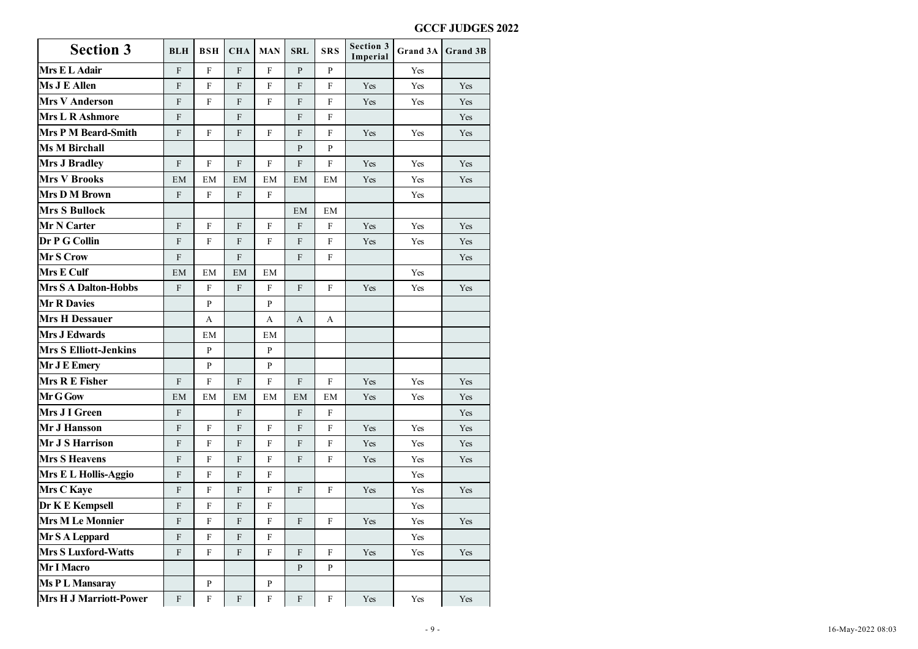| <b>Section 3</b>              | <b>BLH</b>   | <b>BSH</b>   | <b>CHA</b>   | <b>MAN</b>   | <b>SRL</b>   | <b>SRS</b>   | Section 3<br>Imperial | Grand 3A Grand 3B |     |
|-------------------------------|--------------|--------------|--------------|--------------|--------------|--------------|-----------------------|-------------------|-----|
| Mrs E L Adair                 | F            | $\mathbf{F}$ | $\mathbf{F}$ | $\mathbf{F}$ | P            | P            |                       | Yes               |     |
| <b>Ms J E Allen</b>           | $\mathbf{F}$ | F            | $\mathbf{F}$ | F            | F            | $\mathbf{F}$ | Yes                   | Yes               | Yes |
| <b>Mrs V Anderson</b>         | $\mathbf{F}$ | F            | $\mathbf{F}$ | F            | F            | $\mathbf{F}$ | Yes                   | Yes               | Yes |
| <b>Mrs L R Ashmore</b>        | $\mathbf{F}$ |              | $\mathbf{F}$ |              | F            | F            |                       |                   | Yes |
| <b>Mrs P M Beard-Smith</b>    | $\mathbf{F}$ | $\mathbf{F}$ | $\mathbf{F}$ | $\mathbf{F}$ | $\mathbf{F}$ | $\mathbf{F}$ | Yes                   | Yes               | Yes |
| <b>Ms M Birchall</b>          |              |              |              |              | P            | P            |                       |                   |     |
| <b>Mrs J Bradley</b>          | $\mathbf{F}$ | F            | $\mathbf{F}$ | $\mathbf{F}$ | $\mathbf{F}$ | $_{\rm F}$   | Yes                   | Yes               | Yes |
| <b>Mrs V Brooks</b>           | EM           | EM           | EM           | EM           | EM           | EM           | Yes                   | Yes               | Yes |
| <b>Mrs D M Brown</b>          | $\mathbf{F}$ | $_{\rm F}$   | $\mathbf{F}$ | $\mathbf{F}$ |              |              |                       | Yes               |     |
| <b>Mrs S Bullock</b>          |              |              |              |              | EM           | EM           |                       |                   |     |
| Mr N Carter                   | $\mathbf{F}$ | F            | $\mathbf{F}$ | F            | F            | $\mathbf{F}$ | Yes                   | Yes               | Yes |
| Dr P G Collin                 | $\mathbf{F}$ | $_{\rm F}$   | $\mathbf{F}$ | F            | F            | F            | Yes                   | Yes               | Yes |
| Mr S Crow                     | $\mathbf{F}$ |              | $\mathbf{F}$ |              | $\mathbf{F}$ | F            |                       |                   | Yes |
| <b>Mrs E Culf</b>             | EM           | EM           | EM           | EM           |              |              |                       | Yes               |     |
| <b>Mrs S A Dalton-Hobbs</b>   | $\mathbf{F}$ | $_{\rm F}$   | $\mathbf{F}$ | $_{\rm F}$   | F            | F            | Yes                   | Yes               | Yes |
| <b>Mr R Davies</b>            |              | P            |              | P            |              |              |                       |                   |     |
| <b>Mrs H Dessauer</b>         |              | A            |              | $\mathbf{A}$ | A            | $\mathbf{A}$ |                       |                   |     |
| <b>Mrs J Edwards</b>          |              | EM           |              | EM           |              |              |                       |                   |     |
| <b>Mrs S Elliott-Jenkins</b>  |              | P            |              | P            |              |              |                       |                   |     |
| Mr J E Emery                  |              | P            |              | P            |              |              |                       |                   |     |
| <b>Mrs R E Fisher</b>         | $\mathbf{F}$ | $\mathbf{F}$ | $\mathbf{F}$ | $\mathbf{F}$ | F            | $\mathbf{F}$ | Yes                   | Yes               | Yes |
| Mr G Gow                      | EM           | EM           | EM           | EM           | EM           | EM           | Yes                   | Yes               | Yes |
| Mrs J I Green                 | $\mathbf{F}$ |              | $\mathbf{F}$ |              | $\mathbf{F}$ | F            |                       |                   | Yes |
| Mr J Hansson                  | $\mathbf{F}$ | $\mathbf{F}$ | ${\bf F}$    | F            | F            | $_{\rm F}$   | Yes                   | Yes               | Yes |
| Mr J S Harrison               | $\mathbf{F}$ | $_{\rm F}$   | $\mathbf{F}$ | $_{\rm F}$   | $\mathbf{F}$ | F            | Yes                   | Yes               | Yes |
| <b>Mrs S Heavens</b>          | $\mathbf{F}$ | $_{\rm F}$   | $\mathbf{F}$ | $\mathbf{F}$ | F            | $\mathbf{F}$ | Yes                   | Yes               | Yes |
| Mrs E L Hollis-Aggio          | $\mathbf{F}$ | F            | $\mathbf{F}$ | F            |              |              |                       | Yes               |     |
| <b>Mrs C Kaye</b>             | $\mathbf{F}$ | F            | F            | $_{\rm F}$   | F            | F            | Yes                   | Yes               | Yes |
| Dr K E Kempsell               | F            | F            | $\mathbf{F}$ | $\mathbf{F}$ |              |              |                       | Yes               |     |
| <b>Mrs M Le Monnier</b>       | F            | F            | F            | $_{\rm F}$   | F            | F            | Yes                   | Yes               | Yes |
| Mr S A Leppard                | $\mathbf{F}$ | F            | $\mathbf{F}$ | $\mathbf{F}$ |              |              |                       | Yes               |     |
| <b>Mrs S Luxford-Watts</b>    | $\mathbf{F}$ | $\mathbf{F}$ | F            | $_{\rm F}$   | F            | $_{\rm F}$   | Yes                   | Yes               | Yes |
| Mr I Macro                    |              |              |              |              | P            | P            |                       |                   |     |
| Ms P L Mansaray               |              | P            |              | P            |              |              |                       |                   |     |
| <b>Mrs H J Marriott-Power</b> | F            | $\mathbf F$  | $\, {\rm F}$ | $\mathbf F$  | $\mathbf{F}$ | $\mathbf{F}$ | Yes                   | Yes               | Yes |
|                               |              |              |              |              |              |              |                       |                   |     |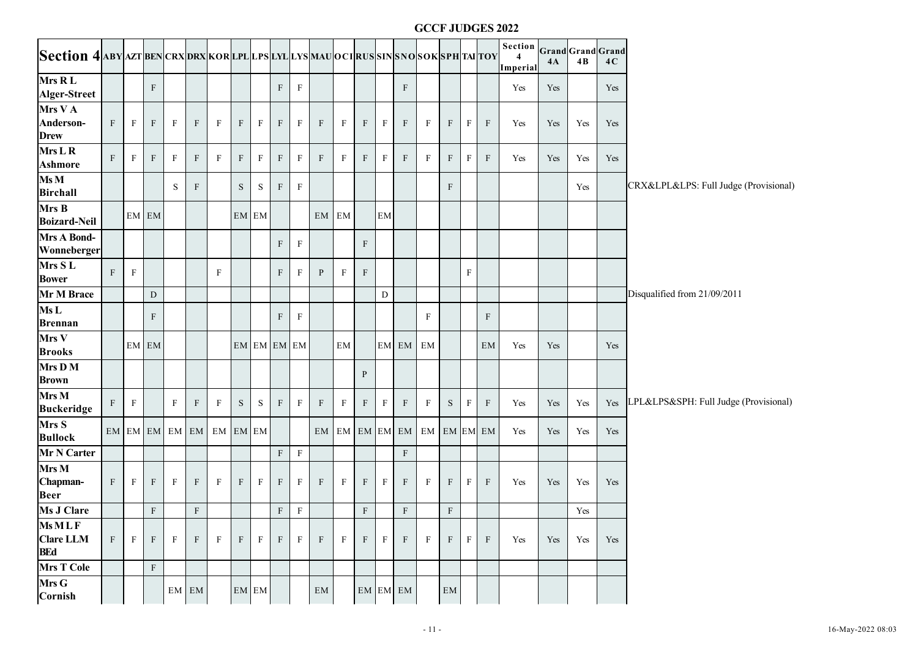|                                                                                       |   |              |              |             |                                 |                         |              |                       |                 |              |                  |               |              |              |                            |              |              |              | <b>GCCF JUDGES 2022</b> |                                                |     |                                |     |                                           |
|---------------------------------------------------------------------------------------|---|--------------|--------------|-------------|---------------------------------|-------------------------|--------------|-----------------------|-----------------|--------------|------------------|---------------|--------------|--------------|----------------------------|--------------|--------------|--------------|-------------------------|------------------------------------------------|-----|--------------------------------|-----|-------------------------------------------|
| Section 4 aby azt ben crx drx kor lpl lps lyl lys mau oci rus sin sno sok sph tai toy |   |              |              |             |                                 |                         |              |                       |                 |              |                  |               |              |              |                            |              |              |              |                         | Section<br>$\overline{\mathbf{4}}$<br>Imperial | 4A  | <b>Grand</b> Grand Grand<br>4B | 4C  |                                           |
| Mrs RL<br>Alger-Street                                                                |   |              | $\rm F$      |             |                                 |                         |              |                       | F               | $\mathbf{F}$ |                  |               |              |              | F                          |              |              |              |                         | Yes                                            | Yes |                                | Yes |                                           |
| Mrs V A<br>Anderson-<br><b>Drew</b>                                                   | F | $\mathbf{F}$ | $\mathbf{F}$ | $_{\rm F}$  | $\mathbf{F}$                    | $\mathbf{F}$            | $\mathbf{F}$ | $\mathbf{F}$          | $\mathbf{F}$    | $_{\rm F}$   | $\, {\rm F}$     | $\mathbf{F}$  | $\mathbf{F}$ | $_{\rm F}$   | F                          | $\mathbf{F}$ | $\rm F$      | $\mathbf{F}$ | $\, {\rm F}$            | Yes                                            | Yes | Yes                            | Yes |                                           |
| Mrs L R<br><b>Ashmore</b>                                                             | F | $\mathbf{F}$ | F            | $_{\rm F}$  | $\mathbf{F}$                    | $\mathbf{F}$            | $\mathbf{F}$ | $\, {\bf F}$          | $\mathbf F$     | $\mathbf{F}$ | $\rm F$          | $\mathbf{F}$  | $\mathbf F$  | F            | F                          | F            | $\mathbf{F}$ | $\mathbf{F}$ | $\mathbf{F}$            | Yes                                            | Yes | Yes                            | Yes |                                           |
| $\overline{\text{Ms M}}$<br><b>Birchall</b>                                           |   |              |              | $\mathbf S$ | $\mathbf{F}$                    |                         | S.           | S                     | $\mathbf{F}$    | $\mathbf{F}$ |                  |               |              |              |                            |              | F            |              |                         |                                                |     | Yes                            |     | CRX&LPL&LPS: Full Judge (Provisional)     |
| Mrs B<br><b>Boizard-Neil</b>                                                          |   |              | EM EM        |             |                                 |                         |              | EM EM                 |                 |              | EM EM            |               |              | <b>EM</b>    |                            |              |              |              |                         |                                                |     |                                |     |                                           |
| <b>Mrs A Bond-</b><br>Wonneberger                                                     |   |              |              |             |                                 |                         |              |                       | F               | $\mathbf F$  |                  |               | $\mathbf F$  |              |                            |              |              |              |                         |                                                |     |                                |     |                                           |
| Mrs SL<br><b>Bower</b>                                                                | F | $\mathbf F$  |              |             |                                 | F                       |              |                       | $\mathbf F$     | $\mathbf{F}$ | $\mathbf{P}$     | $\rm F$       | $\mathbf{F}$ |              |                            |              |              | $\mathbf{F}$ |                         |                                                |     |                                |     |                                           |
| Mr M Brace                                                                            |   |              | ${\rm D}$    |             |                                 |                         |              |                       |                 |              |                  |               |              | ${\rm D}$    |                            |              |              |              |                         |                                                |     |                                |     | Disqualified from 21/09/2011              |
| MsL<br><b>Brennan</b>                                                                 |   |              | F            |             |                                 |                         |              |                       | F               | $\mathbf{F}$ |                  |               |              |              |                            | F            |              |              | F                       |                                                |     |                                |     |                                           |
| Mrs V<br><b>Brooks</b>                                                                |   |              | EM EM        |             |                                 |                         |              | EM EM EM EM           |                 |              |                  | $\mathrm{EM}$ |              |              | EM EM EM                   |              |              |              | EM                      | Yes                                            | Yes |                                | Yes |                                           |
| Mrs D M<br><b>Brown</b>                                                               |   |              |              |             |                                 |                         |              |                       |                 |              |                  |               | $\mathbf{P}$ |              |                            |              |              |              |                         |                                                |     |                                |     |                                           |
| Mrs M<br><b>Buckeridge</b>                                                            | F | $\, {\rm F}$ |              | $\rm F$     | $\rm F$                         | $\mathbf{F}$            | S            | ${\bf S}$             | $\, {\bf F} \,$ | $\mathbf{F}$ | $\rm F$          | $\mathbf{F}$  | F            | $\mathbf{F}$ | F                          | $\mathbf{F}$ | ${\bf S}$    | F            | $\mathbf{F}$            | Yes                                            | Yes | Yes                            |     | Yes LPL&LPS&SPH: Full Judge (Provisional) |
| Mrs S<br><b>Bullock</b>                                                               |   |              |              |             |                                 | EM EM EM EM EM EM EM EM |              |                       |                 |              |                  |               |              |              | EM EM EM EM EM EM EM EM EM |              |              |              |                         | Yes                                            | Yes | Yes                            | Yes |                                           |
| Mr N Carter                                                                           |   |              |              |             |                                 |                         |              |                       | F               | $\mathbf F$  |                  |               |              |              | $\mathbf F$                |              |              |              |                         |                                                |     |                                |     |                                           |
| Mrs M<br>Chapman-<br><b>Beer</b>                                                      | F | $\mathbf{F}$ | $\mathbf{F}$ | $_{\rm F}$  | $\rm F$                         | $\mathbf{F}$            | $\mathbf{F}$ | $\, {\bf F}$          | $\mathbf F$     | $_{\rm F}$   | $\rm F$          | $\mathbf{F}$  | F            | $_{\rm F}$   | F                          | $\mathbf{F}$ | $\rm F$      | $\mathbf{F}$ | $\mathbf{F}$            | Yes                                            | Yes | Yes                            | Yes |                                           |
| <b>Ms J Clare</b>                                                                     |   |              | $\rm F$      |             | F                               |                         |              |                       |                 | $F \mid F$   |                  |               | $\mathbf F$  |              | $\, {\bf F} \,$            |              | $\rm F$      |              |                         |                                                |     | Yes                            |     |                                           |
| MsMLF<br><b>Clare LLM</b><br><b>BEd</b>                                               | F | $\mathbf{F}$ | $\mathbf{F}$ | F           | $\mathbf{F}$                    | F                       | F            | $\mathbf{F}$          | $\mathbf{F}$    | $_{\rm F}$   | $\boldsymbol{F}$ | $\mathbf{F}$  | $\mathbf{F}$ | F            | F                          | $\mathbf{F}$ | $\mathbf{F}$ | $\mathbf{F}$ | $\mathbf{F}$            | Yes                                            | Yes | Yes                            | Yes |                                           |
| <b>Mrs T Cole</b>                                                                     |   |              | $\mathbf F$  |             |                                 |                         |              |                       |                 |              |                  |               |              |              |                            |              |              |              |                         |                                                |     |                                |     |                                           |
| Mrs G<br>Cornish                                                                      |   |              |              |             | $\boldsymbol{\mathsf{EM}}\;$ EM |                         |              | $EM$ ${\small\bf EM}$ |                 |              | $\mathrm{EM}$    |               |              |              | EM EM EM                   |              | EM           |              |                         |                                                |     |                                |     |                                           |
|                                                                                       |   |              |              |             |                                 |                         |              |                       |                 |              |                  |               |              |              |                            | $\sim 11$ -  |              |              |                         |                                                |     |                                |     | 16-May-2022 08:03                         |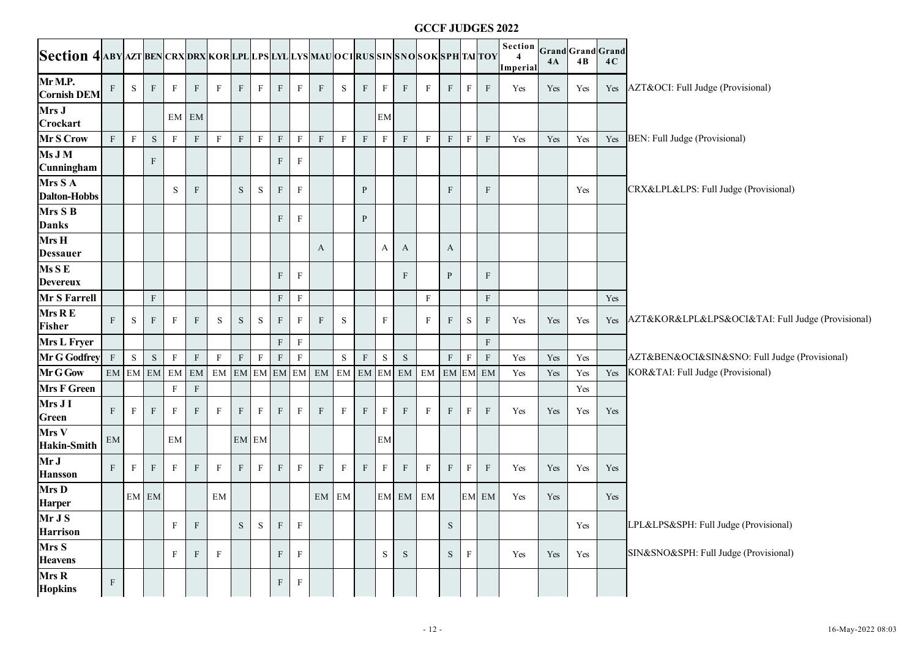|                                                                                       |                  |              |              |                |              |              |              |                           |             |              |                   |             |             |              |                         | <b>GCCF JUDGES 2022</b> |              |              |              |                                       |     |     |     |                                                   |
|---------------------------------------------------------------------------------------|------------------|--------------|--------------|----------------|--------------|--------------|--------------|---------------------------|-------------|--------------|-------------------|-------------|-------------|--------------|-------------------------|-------------------------|--------------|--------------|--------------|---------------------------------------|-----|-----|-----|---------------------------------------------------|
| Section 4 aby azt ben crx drx kor lpl lps lyl lys mau oci rus sin sno sok sph tai toy |                  |              |              |                |              |              |              |                           |             |              |                   |             |             |              |                         |                         |              |              |              | Section Grand Grand Grand<br>Imperial | 4A  | 4B  | 4C  |                                                   |
| Mr M.P.<br><b>Cornish DEM</b>                                                         | $\mathbf{F}$     | S            | $\mathbf{F}$ | $\mathbf{F}$   | F            | $\mathbf{F}$ | $\rm F$      | F                         | F           | $\mathbf{F}$ | $\mathbf{F}$      | S           | F           | $\mathbf{F}$ | F                       | $\mathbf{F}$            | $\mathbf{F}$ | $\mathbf{F}$ | F            | Yes                                   | Yes | Yes |     | Yes AZT&OCI: Full Judge (Provisional)             |
| Mrs J<br>Crockart                                                                     |                  |              |              |                | EM EM        |              |              |                           |             |              |                   |             |             | EM           |                         |                         |              |              |              |                                       |     |     |     |                                                   |
| Mr S Crow                                                                             | $\mathbf F$      | $\, {\bf F}$ | ${\bf S}$    | $\mathbf{F}$   | $\rm F$      | $\mathbf{F}$ | $\mathbf F$  | $\mathbf F$               | $\rm F$     | $\, {\bf F}$ | $\mathbf F$       | $\mathbf F$ | $\mathbf F$ | $\mathbf F$  | F                       | $\mathbf F$             | $\, {\rm F}$ | $\mathbf F$  | $\rm F$      | Yes                                   | Yes | Yes | Yes | BEN: Full Judge (Provisional)                     |
| Ms J M<br>Cunningham                                                                  |                  |              | F            |                |              |              |              |                           | F           | $\mathbf{F}$ |                   |             |             |              |                         |                         |              |              |              |                                       |     |     |     |                                                   |
| Mrs S A<br><b>Dalton-Hobbs</b>                                                        |                  |              |              | S              | $\mathbf{F}$ |              | $\mathbf S$  | S                         | $\mathbf F$ | $\mathbf{F}$ |                   |             | P           |              |                         |                         | F            |              | $\mathbf{F}$ |                                       |     | Yes |     | CRX&LPL&LPS: Full Judge (Provisional)             |
| Mrs S B<br><b>Danks</b>                                                               |                  |              |              |                |              |              |              |                           | F           | $\mathbf{F}$ |                   |             | P           |              |                         |                         |              |              |              |                                       |     |     |     |                                                   |
| Mrs H<br><b>Dessauer</b>                                                              |                  |              |              |                |              |              |              |                           |             |              | A                 |             |             | А            | $\mathbf{A}$            |                         | A            |              |              |                                       |     |     |     |                                                   |
| $\overline{\text{Ms S E}}$<br><b>Devereux</b>                                         |                  |              |              |                |              |              |              |                           | F           | $\mathbf{F}$ |                   |             |             |              | $\mathbf{F}$            |                         | P            |              | $\mathbf{F}$ |                                       |     |     |     |                                                   |
| Mr S Farrell                                                                          |                  |              | $\rm F$      |                |              |              |              |                           | F           | $\, {\bf F}$ |                   |             |             |              |                         | $\mathbf F$             |              |              | $\mathbf F$  |                                       |     |     | Yes |                                                   |
| Mrs R E<br><b>Fisher</b>                                                              | $\mathbf{F}$     | S            | $\mathbf{F}$ | $_{\rm F}$     | $\mathbf{F}$ | S            | S            | S                         | F           | $\mathbf{F}$ | F                 | S           |             | $_{\rm F}$   |                         | $\mathbf{F}$            | F            | S            | $\mathbf{F}$ | Yes                                   | Yes | Yes | Yes | AZT&KOR&LPL&LPS&OCI&TAI: Full Judge (Provisional) |
| Mrs L Fryer                                                                           |                  |              |              |                |              |              |              |                           | $\rm F$     | $\, {\bf F}$ |                   |             |             |              |                         |                         |              |              | $\mathbf{F}$ |                                       |     |     |     |                                                   |
| Mr G Godfrey                                                                          | $\mathbf F$      | ${\bf S}$    | $\mathbf S$  | $\mathbf F$    | $\rm F$      | F            | $\mathbf F$  | $\boldsymbol{\mathrm{F}}$ | $\rm F$     | $\, {\bf F}$ |                   | $\mathbf S$ | $\mathbf F$ | $\mathbf S$  | ${\bf S}$               |                         | ${\bf F}$    | $\rm F$      | $\mathbf F$  | Yes                                   | Yes | Yes |     | AZT&BEN&OCI&SIN&SNO: Full Judge (Provisional)     |
| Mr G Gow                                                                              |                  |              |              | EM EM EM EM EM |              |              |              |                           |             |              | EM EM EM EM EM EM |             |             |              | EM EM EM EM EM EM EM EM |                         |              |              |              | Yes                                   | Yes | Yes |     | Yes KOR&TAI: Full Judge (Provisional)             |
| <b>Mrs F Green</b>                                                                    |                  |              |              | $\mathbf{F}$   | $\rm F$      |              |              |                           |             |              |                   |             |             |              |                         |                         |              |              |              |                                       |     | Yes |     |                                                   |
| Mrs J I<br><b>Green</b>                                                               | $\mathbf{F}$     | $\mathbf{F}$ | $\rm F$      | $_{\rm F}$     | F            | F            | $\mathbf F$  | F                         | F           | $\mathbf{F}$ | $\boldsymbol{F}$  | F           | F           | F            | $\mathbf{F}$            | $\mathbf{F}$            | F            | F            | $\rm F$      | Yes                                   | Yes | Yes | Yes |                                                   |
| Mrs V<br><b>Hakin-Smith</b>                                                           | EM               |              |              | EM             |              |              |              | EM EM                     |             |              |                   |             |             | EM           |                         |                         |              |              |              |                                       |     |     |     |                                                   |
| Mr J<br><b>Hansson</b>                                                                | $\mathbf{F}$     | $\mathbf{F}$ | $\rm F$      | $\mathbf{F}$   | F            | $\mathbf{F}$ | $\, {\rm F}$ | $\mathbf{F}$              | F           | $\mathbf{F}$ | $\rm F$           | $\rm F$     | F           | $\mathbf F$  | F                       | $\mathbf{F}$            | $\mathbf{F}$ | $_{\rm F}$   | F            | Yes                                   | Yes | Yes | Yes |                                                   |
| Mrs D<br><b>Harper</b>                                                                |                  |              | EM EM        |                |              | EM           |              |                           |             |              | EM EM             |             |             |              | EM EM EM                |                         |              |              | EM EM        | Yes                                   | Yes |     | Yes |                                                   |
| Mr J S<br><b>Harrison</b>                                                             |                  |              |              | $\mathbf{F}$   | $\mathbf{F}$ |              | $\mathbf S$  | ${\bf S}$                 | $\rm F$     | $\mathbf{F}$ |                   |             |             |              |                         |                         | $\mathbf S$  |              |              |                                       |     | Yes |     | LPL&LPS&SPH: Full Judge (Provisional)             |
| Mrs S<br><b>Heavens</b>                                                               |                  |              |              | F              | $\mathbf{F}$ | $\mathbf{F}$ |              |                           | F           | $\mathbf{F}$ |                   |             |             | ${\bf S}$    | S                       |                         | ${\bf S}$    | F            |              | Yes                                   | Yes | Yes |     | SIN&SNO&SPH: Full Judge (Provisional)             |
| Mrs R<br><b>Hopkins</b>                                                               | $\boldsymbol{F}$ |              |              |                |              |              |              |                           | ${\bf F}$   | $\mathbf{F}$ |                   |             |             |              |                         |                         |              |              |              |                                       |     |     |     |                                                   |
|                                                                                       |                  |              |              |                |              |              |              |                           |             |              |                   |             |             |              |                         | $-12-$                  |              |              |              |                                       |     |     |     | 16-May-2022 08:03                                 |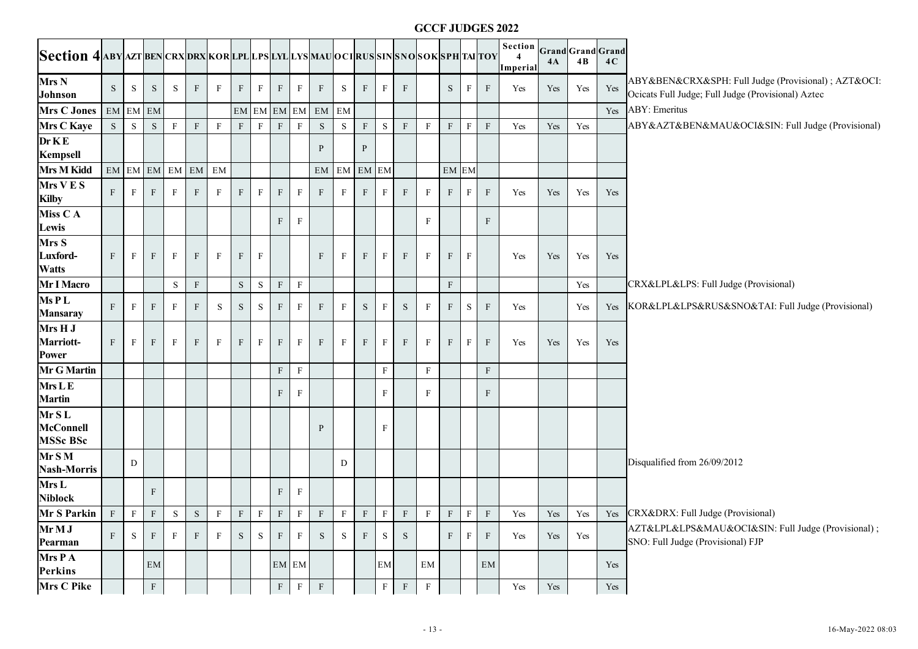|                                                                                      |               |              |              |                |              |             |              |                       |              |              |                                                                                             |              |                  |                            |              |              |              |              | <b>GCCF JUDGES 2022</b>   |                      |     |                         |                      |                                                                                                            |
|--------------------------------------------------------------------------------------|---------------|--------------|--------------|----------------|--------------|-------------|--------------|-----------------------|--------------|--------------|---------------------------------------------------------------------------------------------|--------------|------------------|----------------------------|--------------|--------------|--------------|--------------|---------------------------|----------------------|-----|-------------------------|----------------------|------------------------------------------------------------------------------------------------------------|
| Section 4 aby azt ben crx drx kor lpl lps lyl lys mau oci rus sin sno sok sph ta toy |               |              |              |                |              |             |              |                       |              |              |                                                                                             |              |                  |                            |              |              |              |              |                           | Section<br>Imperial  | 4A  | Grand Grand Grand<br>4B | 4C                   |                                                                                                            |
| Mrs N<br>Johnson                                                                     | S.            | S            | S            | S              | F            | F           | F            | $\, {\bf F}$          | $\rm F$      | $\mathbf{F}$ | F                                                                                           | S            | $\mathbf{F}$     | F                          | F            |              | S            | F            | $\mathbf{F}$              | Yes                  | Yes | Yes                     | Yes                  | ABY&BEN&CRX&SPH: Full Judge (Provisional) ; AZT&OCI:<br>Ocicats Full Judge; Full Judge (Provisional) Aztec |
| <b>Mrs C Jones</b>                                                                   | $\mathrm{EM}$ |              | EM EM        |                |              |             |              | $EM$ ${\small\bf EM}$ |              |              | EM EM EM                                                                                    | EM           |                  |                            |              |              |              |              |                           |                      |     |                         | Yes                  | ABY: Emeritus                                                                                              |
| <b>Mrs C Kaye</b>                                                                    | ${\bf S}$     | S            | ${\bf S}$    | $\mathbf F$    | $\mathbf F$  | $\mathbf F$ | $\mathbf F$  | $\rm F$               | $\mathbf F$  | $\rm F$      | S                                                                                           | S            | $\mathbf F$      | ${\bf S}$                  | $\mathbf F$  | $\mathbf F$  | $\mathbf{F}$ | $\, {\bf F}$ | $\mathbf F$               | Yes                  | Yes | Yes                     |                      | ABY&AZT&BEN&MAU&OCI&SIN: Full Judge (Provisional)                                                          |
| DrKE<br>Kempsell                                                                     |               |              |              |                |              |             |              |                       |              |              | P                                                                                           |              | P                |                            |              |              |              |              |                           |                      |     |                         |                      |                                                                                                            |
| <b>Mrs M Kidd</b>                                                                    |               |              |              | EM EM EM EM EM |              | EM          |              |                       |              |              | EM                                                                                          | $\rm{EM}$    | EM EM            |                            |              |              | EM EM        |              |                           |                      |     |                         |                      |                                                                                                            |
| $Mrs$ V E S<br><b>Kilby</b>                                                          | F             | $_{\rm F}$   | $\mathbf{F}$ | $\mathbf{F}$   | $\mathbf{F}$ | F           | $\mathbf{F}$ | $\, {\rm F}$          | $\mathbf F$  | $\mathbf{F}$ | $\mathbf{F}$                                                                                | F            | $\mathbf{F}$     | $\mathbf{F}$               | $\mathbf{F}$ | $_{\rm F}$   | $\mathbf{F}$ | $\mathbf{F}$ | $\mathbf{F}$              | Yes                  | Yes | Yes                     | Yes                  |                                                                                                            |
| Miss CA<br>Lewis                                                                     |               |              |              |                |              |             |              |                       | $\mathbf{F}$ | $\mathbf{F}$ |                                                                                             |              |                  |                            |              | F            |              |              | $\mathbf{F}$              |                      |     |                         |                      |                                                                                                            |
| Mrs S<br>Luxford-<br><b>Watts</b>                                                    | $\mathbf{F}$  | $\mathbf{F}$ | $\mathbf{F}$ | $_{\rm F}$     | $\mathbf{F}$ | $_{\rm F}$  | F            | $\mathbf F$           |              |              | $\mathbf{F}$                                                                                | F            | $\boldsymbol{F}$ | $\mathbf{F}$               | F            | F            | F            | $\mathbf{F}$ |                           | Yes                  | Yes | Yes                     | Yes                  |                                                                                                            |
| Mr I Macro                                                                           |               |              |              | ${\bf S}$      | ${\bf F}$    |             | $\,$ S       | ${\bf S}$             | $\mathbf F$  | $\mathbf F$  |                                                                                             |              |                  |                            |              |              | $\mathbf{F}$ |              |                           |                      |     | Yes                     |                      | CRX&LPL&LPS: Full Judge (Provisional)                                                                      |
| Ms PL<br><b>Mansaray</b>                                                             | $\mathbf{F}$  | $\mathbf{F}$ | F            | F              | F            | S           | S            | S                     | $\mathbf{F}$ | F            | $\mathbf{F}$                                                                                | $\mathbf{F}$ | S                | F                          | S            | $_{\rm F}$   | F            | S            | $\mathbf{F}$              | Yes                  |     | Yes                     | Yes                  | KOR&LPL&LPS&RUS&SNO&TAI: Full Judge (Provisional)                                                          |
| Mrs H J<br><b>Marriott-</b><br><b>Power</b>                                          | F             | $\mathbf{F}$ | F            | $_{\rm F}$     | F            | $_{\rm F}$  | F            | $\mathbf F$           | $\rm F$      | $\mathbf{F}$ | $\mathbf{F}$                                                                                | F            | $\boldsymbol{F}$ | $\mathbf{F}$               | $\mathbf{F}$ | F            | F            | $_{\rm F}$   | $\mathbf{F}$              | Yes                  | Yes | Yes                     | Yes                  |                                                                                                            |
| <b>Mr G Martin</b>                                                                   |               |              |              |                |              |             |              |                       | ${\bf F}$    | $_{\rm F}$   |                                                                                             |              |                  | $\mathbf F$                |              | $\mathbf F$  |              |              | $\rm F$                   |                      |     |                         |                      |                                                                                                            |
| Mrs L E<br><b>Martin</b>                                                             |               |              |              |                |              |             |              |                       | $\mathbf{F}$ | F            |                                                                                             |              |                  | $\mathbf{F}$               |              | F            |              |              | $\boldsymbol{\mathrm{F}}$ |                      |     |                         |                      |                                                                                                            |
| Mr SL<br><b>McConnell</b><br><b>MSSc BSc</b>                                         |               |              |              |                |              |             |              |                       |              |              | P                                                                                           |              |                  | $\mathbf F$                |              |              |              |              |                           |                      |     |                         |                      |                                                                                                            |
| Mr S M<br><b>Nash-Morris</b>                                                         |               | D            |              |                |              |             |              |                       |              |              |                                                                                             | D            |                  |                            |              |              |              |              |                           |                      |     |                         |                      | Disqualified from 26/09/2012                                                                               |
| Mrs L<br><b>Niblock</b>                                                              |               |              | F            |                |              |             |              |                       | $\rm F$      | $\mathbf{F}$ |                                                                                             |              |                  |                            |              |              |              |              |                           |                      |     |                         |                      |                                                                                                            |
| Mr S Parkin F F F                                                                    |               |              |              |                |              | $S$ $S$ $F$ |              |                       |              |              | $F \quad F \quad F \quad F \quad F \quad F \quad F \quad F \quad F \quad F \quad F \quad F$ |              |                  |                            |              |              |              |              |                           | $Y_{\text{es}}$      |     |                         |                      | Yes   Yes   Yes   CRX&DRX: Full Judge (Provisional)                                                        |
| Mr M J<br>Pearman                                                                    | $\mathbf{F}$  | S            | F            | $\mathbf{F}$   | F            | F           | S            | S                     | F            | $\mathbf F$  | S                                                                                           | S            | F                | S                          | S            |              | F            | $\mathbf{F}$ | $\mathbf{F}$              | Yes                  | Yes | Yes                     |                      | AZT&LPL&LPS&MAU&OCI&SIN: Full Judge (Provisional);<br>SNO: Full Judge (Provisional) FJP                    |
| Mrs P A<br><b>Perkins</b>                                                            |               |              | EM           |                |              |             |              |                       |              | EM EM        |                                                                                             |              |                  | $\boldsymbol{\mathrm{EM}}$ |              | EM           |              |              | $\mathrm{EM}$             |                      |     |                         | Yes                  |                                                                                                            |
| Mrs C Pike                                                                           |               |              | $\mathbf F$  |                |              |             |              |                       | $\mathbf F$  | $\, {\bf F}$ | $\mathbf F$                                                                                 |              |                  | $\, {\bf F}$               | $\, {\rm F}$ | $\mathbf{F}$ |              |              |                           | $\operatorname{Yes}$ | Yes |                         | $\operatorname{Yes}$ |                                                                                                            |
|                                                                                      |               |              |              |                |              |             |              |                       |              |              |                                                                                             |              |                  |                            |              | $-13-$       |              |              |                           |                      |     |                         |                      | 16-May-2022 08:03                                                                                          |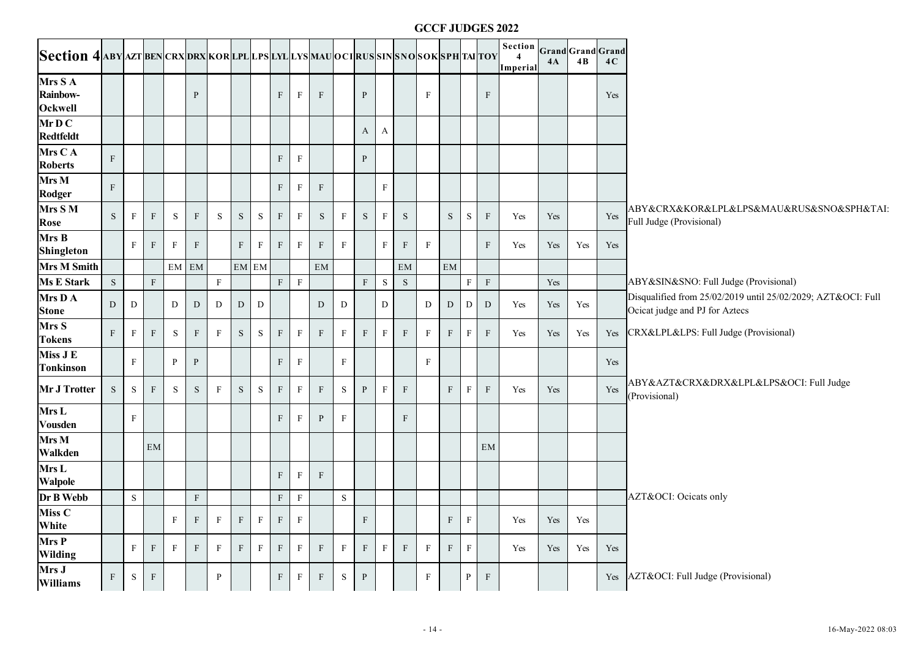|                                                                                       |              |                           |              |              |              |              |             |              |                 |              |                           |              |              |              |              |              |              |              | <b>GCCF JUDGES 2022</b>   |                                       |           |     |     |                                                                                                |
|---------------------------------------------------------------------------------------|--------------|---------------------------|--------------|--------------|--------------|--------------|-------------|--------------|-----------------|--------------|---------------------------|--------------|--------------|--------------|--------------|--------------|--------------|--------------|---------------------------|---------------------------------------|-----------|-----|-----|------------------------------------------------------------------------------------------------|
| Section 4 aby azt ben crx drx kor lpl lps lyl lys mau oci rus sin sno sok sph tai toy |              |                           |              |              |              |              |             |              |                 |              |                           |              |              |              |              |              |              |              |                           | Section Grand Grand Grand<br>Imperial | <b>4A</b> | 4B  | 4C  |                                                                                                |
| Mrs S A<br><b>Rainbow-</b><br><b>Ockwell</b>                                          |              |                           |              |              | P            |              |             |              | $\mathbf{F}$    | $_{\rm F}$   | $\boldsymbol{\mathrm{F}}$ |              | $\mathbf{P}$ |              |              | $_{\rm F}$   |              |              | $\boldsymbol{\mathrm{F}}$ |                                       |           |     | Yes |                                                                                                |
| MrD C<br><b>Redtfeldt</b>                                                             |              |                           |              |              |              |              |             |              |                 |              |                           |              | $\mathbf{A}$ | A            |              |              |              |              |                           |                                       |           |     |     |                                                                                                |
| Mrs CA<br><b>Roberts</b>                                                              | $\rm F$      |                           |              |              |              |              |             |              | F               | $\mathbf{F}$ |                           |              | P            |              |              |              |              |              |                           |                                       |           |     |     |                                                                                                |
| Mrs M<br><b>Rodger</b>                                                                | $\mathbf{F}$ |                           |              |              |              |              |             |              | $\rm F$         | $\mathbf{F}$ | $\boldsymbol{\mathrm{F}}$ |              |              | $_{\rm F}$   |              |              |              |              |                           |                                       |           |     |     |                                                                                                |
| Mrs S M<br>Rose                                                                       | S            | F                         | $\mathbf{F}$ | S            | $\mathbf{F}$ | S            | ${\bf S}$   | $\,$ S       | F               | $\mathbf{F}$ | S                         | F            | S            | F            | S            |              | S            | S            | $\rm F$                   | Yes                                   | Yes       |     | Yes | ABY&CRX&KOR&LPL&LPS&MAU&RUS&SNO&SPH&TAI:<br>Full Judge (Provisional)                           |
| Mrs B<br><b>Shingleton</b>                                                            |              | $\mathbf{F}$              | $\mathbf{F}$ | $\mathbf{F}$ | F            |              | $\mathbf F$ | $_{\rm F}$   | F               | $\mathbf{F}$ | $\mathbf{F}$              | F            |              | $\mathbf{F}$ | F            | $\mathbf F$  |              |              | F                         | Yes                                   | Yes       | Yes | Yes |                                                                                                |
| <b>Mrs M Smith</b>                                                                    |              |                           |              |              | EM EM        |              |             | EM EM        |                 |              | EM                        |              |              |              | EM           |              | EM           |              |                           |                                       |           |     |     |                                                                                                |
| <b>Ms E Stark</b>                                                                     | ${\bf S}$    |                           | ${\bf F}$    |              |              | $\rm F$      |             |              | F               | $\rm F$      |                           |              | $\rm F$      | $\mathbf S$  | ${\bf S}$    |              |              | $\mathbf F$  | ${\bf F}$                 |                                       | Yes       |     |     | ABY&SIN&SNO: Full Judge (Provisional)                                                          |
| Mrs D A<br><b>Stone</b>                                                               | D            | D                         |              | D            | D            | D            | D           | D            |                 |              | D                         | D            |              | D            |              | D            | D            | D            | D                         | Yes                                   | Yes       | Yes |     | Disqualified from 25/02/2019 until 25/02/2029; AZT&OCI: Full<br>Ocicat judge and PJ for Aztecs |
| Mrs S<br><b>Tokens</b>                                                                | $\mathbf{F}$ | F                         | $\mathbf{F}$ | S            | F            | $_{\rm F}$   | $\mathbf S$ | $\,$ S       | F               | $\mathbf{F}$ | $\boldsymbol{F}$          | F            | $\mathbf{F}$ | F            | $\mathbf{F}$ | $\mathbf{F}$ | $\mathbf{F}$ | F            | $\mathbf{F}$              | Yes                                   | Yes       | Yes | Yes | CRX&LPL&LPS: Full Judge (Provisional)                                                          |
| Miss J E<br><b>Tonkinson</b>                                                          |              | $\boldsymbol{\mathrm{F}}$ |              | $\mathbf{P}$ | $\mathbf{P}$ |              |             |              | F               | $\mathbf{F}$ |                           | $_{\rm F}$   |              |              |              | F            |              |              |                           |                                       |           |     | Yes |                                                                                                |
| Mr J Trotter                                                                          | S            | S                         | $\rm F$      | S            | S            | F            | S           | S            | F               | $\mathbf{F}$ | $\mathbf{F}$              | $\,$ S       | $\mathbf{P}$ | $\mathbf{F}$ | F            |              | F            | $_{\rm F}$   | F                         | Yes                                   | Yes       |     | Yes | ABY&AZT&CRX&DRX&LPL&LPS&OCI: Full Judge<br>(Provisional)                                       |
| Mrs L<br><b>Vousden</b>                                                               |              | $\mathbf{F}$              |              |              |              |              |             |              | F               | $\mathbf{F}$ | P                         | F            |              |              | $\mathbf{F}$ |              |              |              |                           |                                       |           |     |     |                                                                                                |
| Mrs M<br><b>Walkden</b>                                                               |              |                           | EM           |              |              |              |             |              |                 |              |                           |              |              |              |              |              |              |              | EM                        |                                       |           |     |     |                                                                                                |
| Mrs L<br>Walpole                                                                      |              |                           |              |              |              |              |             |              | $\rm F$         | $\mathbf{F}$ | $\boldsymbol{F}$          |              |              |              |              |              |              |              |                           |                                       |           |     |     |                                                                                                |
| Dr B Webb                                                                             |              | $\mathbf S$               |              |              | $\mathbf{F}$ |              |             |              | $\, {\bf F} \,$ | $\mathbf{F}$ |                           | $\mathbf S$  |              |              |              |              |              |              |                           |                                       |           |     |     | AZT&OCI: Ocicats only                                                                          |
| Miss C<br>White                                                                       |              |                           |              | F            | F            | $\mathbf{F}$ | $\mathbf F$ | $\mathbf{F}$ | $\,$ F $\,$     | $\, {\bf F}$ |                           |              | $\mathbf{F}$ |              |              |              | F            | $\, {\rm F}$ |                           | Yes                                   | Yes       | Yes |     |                                                                                                |
| Mrs P<br><b>Wilding</b>                                                               |              | $\mathbf{F}$              | $\mathbf{F}$ | $\mathbf{F}$ | F            | $_{\rm F}$   | F           | $_{\rm F}$   | $\, {\bf F} \,$ | $\mathbf{F}$ | $\mathbf{F}$              | $\mathbf{F}$ | $\mathbf{F}$ | F            | $\mathbf{F}$ | $\mathbf{F}$ | $\mathbf{F}$ | $\mathbf{F}$ |                           | Yes                                   | Yes       | Yes | Yes |                                                                                                |
| Mrs J<br><b>Williams</b>                                                              | $\mathbf F$  | ${\bf S}$                 | $\, {\bf F}$ |              |              | P            |             |              | $\mathbf F$     | $\, {\bf F}$ | $\mathbf{F}$              | ${\bf S}$    | $\, {\bf P}$ |              |              | $\mathbf F$  |              | $\mathbf{P}$ | $\, {\rm F}$              |                                       |           |     | Yes | AZT&OCI: Full Judge (Provisional)                                                              |
|                                                                                       |              |                           |              |              |              |              |             |              |                 |              |                           |              |              |              |              | $-14-$       |              |              |                           |                                       |           |     |     | 16-May-2022 08:03                                                                              |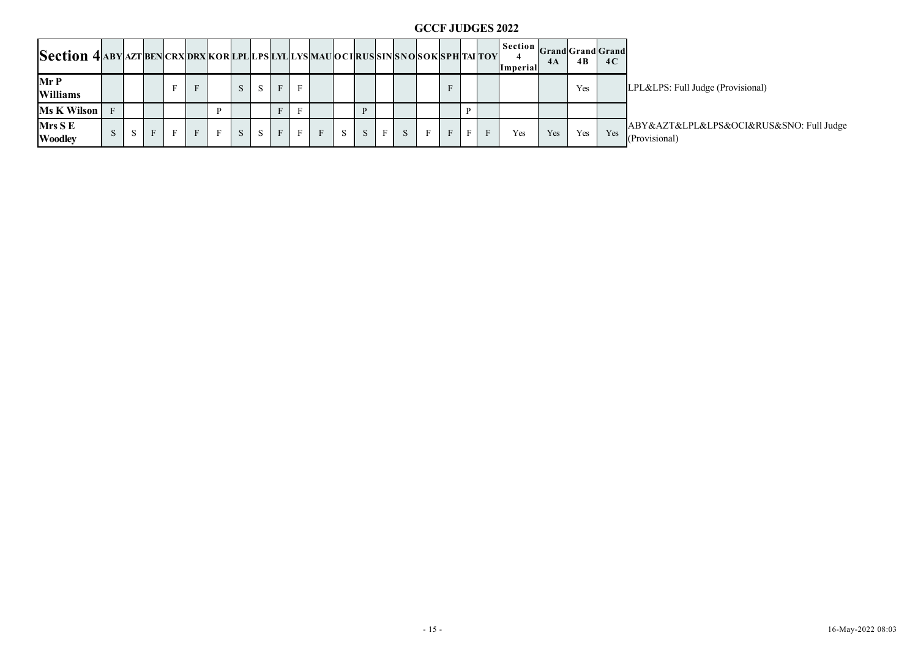|                                                                                  |             |           |         |              |             |              |           |                         |              |                |                |           |           |              |           |              |                 |              |              | <b>GCCF JUDGES 2022</b>               |     |                      |     |                                                          |
|----------------------------------------------------------------------------------|-------------|-----------|---------|--------------|-------------|--------------|-----------|-------------------------|--------------|----------------|----------------|-----------|-----------|--------------|-----------|--------------|-----------------|--------------|--------------|---------------------------------------|-----|----------------------|-----|----------------------------------------------------------|
| Section 4 ABY AZTBEN CRX DRX KORLPL LPS LYL LYS MAU OCIRUS SINS NOSOK SPH TAITOY |             |           |         |              |             |              |           |                         |              |                |                |           |           |              |           |              |                 |              |              | Section Grand Grand Grand<br>Imperial | 4A  | $4B$                 | 4C  |                                                          |
| Mr P<br>Williams                                                                 |             |           |         | $\mathbf F$  | $\mathbf F$ |              | S         | $\cdot$ S <sup>-1</sup> | $\mathbf F$  | $\, {\bf F}$   |                |           |           |              |           |              | $\mathbf{F}^-$  |              |              |                                       |     | Yes                  |     | LPL&LPS: Full Judge (Provisional)                        |
| Ms K Wilson                                                                      | $\mathbf F$ |           |         |              |             | $\, {\bf P}$ |           |                         | $\, {\bf F}$ | $\, {\bf F}$   |                |           | ${\bf P}$ |              |           |              |                 | $\, {\bf p}$ |              |                                       |     |                      |     |                                                          |
| Mrs S E<br><b>Woodley</b>                                                        | ${\bf S}^-$ | ${\bf S}$ | $\rm F$ | $\, {\rm F}$ | $\mathbf F$ | F            | ${\bf S}$ | ${\bf S}$               | $\, {\bf F}$ | $\mathbf{F}^-$ | $\mathbf{F}^-$ | ${\bf S}$ | ${\bf S}$ | $\mathbf{F}$ | ${\bf S}$ | $\, {\rm F}$ | $\, {\bf F} \,$ | $\, {\bf F}$ | $\, {\bf F}$ | Yes                                   | Yes | $\operatorname{Yes}$ | Yes | ABY&AZT&LPL&LPS&OCI&RUS&SNO: Full Judge<br>(Provisional) |
|                                                                                  |             |           |         |              |             |              |           |                         |              |                |                |           |           |              |           |              |                 |              |              |                                       |     |                      |     |                                                          |
|                                                                                  |             |           |         |              |             |              |           |                         |              |                |                |           |           |              |           |              |                 |              |              |                                       |     |                      |     |                                                          |
|                                                                                  |             |           |         |              |             |              |           |                         |              |                |                |           |           |              |           |              |                 |              |              |                                       |     |                      |     |                                                          |
|                                                                                  |             |           |         |              |             |              |           |                         |              |                |                |           |           |              |           |              |                 |              |              |                                       |     |                      |     |                                                          |
|                                                                                  |             |           |         |              |             |              |           |                         |              |                |                |           |           |              |           |              |                 |              |              |                                       |     |                      |     |                                                          |
|                                                                                  |             |           |         |              |             |              |           |                         |              |                |                |           |           |              |           |              |                 |              |              |                                       |     |                      |     |                                                          |
|                                                                                  |             |           |         |              |             |              |           |                         |              |                |                |           |           |              |           |              |                 |              |              |                                       |     |                      |     |                                                          |
|                                                                                  |             |           |         |              |             |              |           |                         |              |                |                |           |           |              |           |              |                 |              |              |                                       |     |                      |     |                                                          |
|                                                                                  |             |           |         |              |             |              |           |                         |              |                |                |           |           |              |           |              |                 |              |              |                                       |     |                      |     |                                                          |
|                                                                                  |             |           |         |              |             |              |           |                         |              |                |                |           |           |              |           |              |                 |              |              |                                       |     |                      |     |                                                          |
|                                                                                  |             |           |         |              |             |              |           |                         |              |                |                |           |           |              |           |              |                 |              |              |                                       |     |                      |     |                                                          |
|                                                                                  |             |           |         |              |             |              |           |                         |              |                |                |           |           |              |           |              |                 |              |              |                                       |     |                      |     |                                                          |
|                                                                                  |             |           |         |              |             |              |           |                         |              |                |                |           |           |              |           |              |                 |              |              |                                       |     |                      |     |                                                          |
|                                                                                  |             |           |         |              |             |              |           |                         |              |                |                |           |           |              |           |              |                 |              |              |                                       |     |                      |     |                                                          |
|                                                                                  |             |           |         |              |             |              |           |                         |              |                |                |           |           |              |           |              |                 |              |              |                                       |     |                      |     |                                                          |
|                                                                                  |             |           |         |              |             |              |           |                         |              |                |                |           |           |              |           | $-15-$       |                 |              |              |                                       |     |                      |     | 16-May-2022 08:03                                        |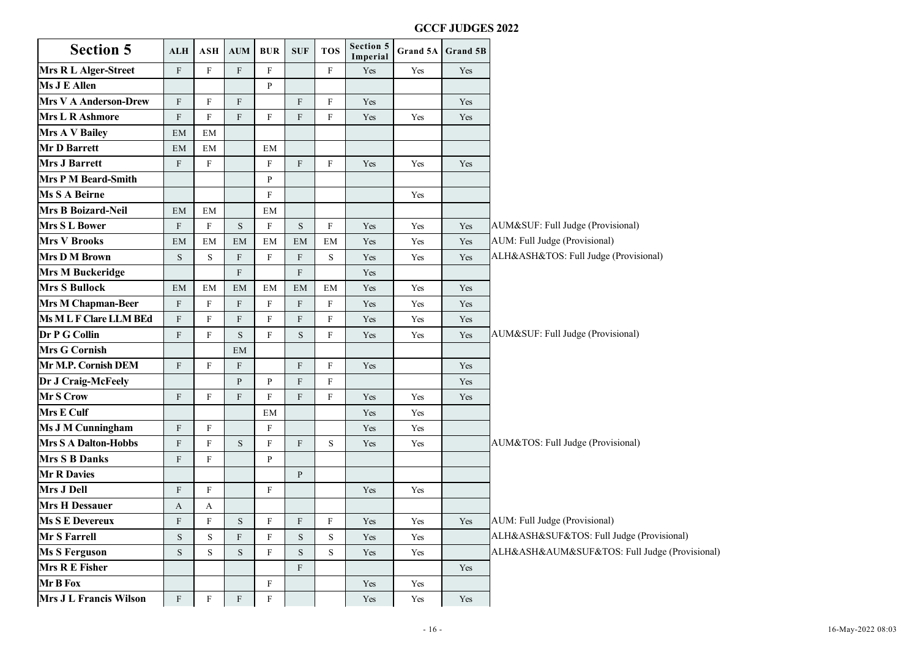| <b>Section 5</b>             | ALH                       | ASH          | <b>AUM</b>                | <b>BUR</b>   | <b>SUF</b>   | <b>TOS</b> | Section 5<br>Imperial | Grand 5A | Grand 5B |                                               |
|------------------------------|---------------------------|--------------|---------------------------|--------------|--------------|------------|-----------------------|----------|----------|-----------------------------------------------|
| <b>Mrs R L Alger-Street</b>  | $\mathbf{F}$              | F            | $\mathbf{F}$              | $\mathbf{F}$ |              | F          | Yes                   | Yes      | Yes      |                                               |
| Ms J E Allen                 |                           |              |                           | $\mathbf{P}$ |              |            |                       |          |          |                                               |
| <b>Mrs V A Anderson-Drew</b> | F                         | F            | F                         |              | F            | F          | Yes                   |          | Yes      |                                               |
| <b>Mrs L R Ashmore</b>       | $\mathbf{F}$              | $_{\rm F}$   | $\mathbf{F}$              | F            | F            | F          | Yes                   | Yes      | Yes      |                                               |
| <b>Mrs A V Bailey</b>        | EM                        | EM           |                           |              |              |            |                       |          |          |                                               |
| Mr D Barrett                 | EM                        | EM           |                           | EM           |              |            |                       |          |          |                                               |
| <b>Mrs J Barrett</b>         | F                         | F            |                           | F            | F            | $_{\rm F}$ | Yes                   | Yes      | Yes      |                                               |
| <b>Mrs P M Beard-Smith</b>   |                           |              |                           | P            |              |            |                       |          |          |                                               |
| <b>Ms S A Beirne</b>         |                           |              |                           | $\mathbf{F}$ |              |            |                       | Yes      |          |                                               |
| Mrs B Boizard-Neil           | EM                        | EM           |                           | EM           |              |            |                       |          |          |                                               |
| <b>Mrs S L Bower</b>         | F                         | F            | S                         | $\mathbf{F}$ | S            | F          | Yes                   | Yes      | Yes      | AUM&SUF: Full Judge (Provisional)             |
| <b>Mrs V Brooks</b>          | EM                        | EM           | EM                        | EM           | EM           | EM         | Yes                   | Yes      | Yes      | AUM: Full Judge (Provisional)                 |
| <b>Mrs D M Brown</b>         | S                         | S            | ${\bf F}$                 | $\mathbf F$  | $\mathbf{F}$ | S          | Yes                   | Yes      | Yes      | ALH&ASH&TOS: Full Judge (Provisional)         |
| <b>Mrs M Buckeridge</b>      |                           |              | $\mathbf F$               |              | $\mathbf{F}$ |            | Yes                   |          |          |                                               |
| <b>Mrs S Bullock</b>         | EM                        | EM           | EM                        | EM           | EM           | EM         | Yes                   | Yes      | Yes      |                                               |
| <b>Mrs M Chapman-Beer</b>    | $\rm F$                   | $\mathbf{F}$ | ${\bf F}$                 | $\mathbf F$  | $\mathbf{F}$ | F          | Yes                   | Yes      | Yes      |                                               |
| Ms M L F Clare LLM BEd       | $\mathbf{F}$              | F            | $\boldsymbol{\mathrm{F}}$ | F            | F            | F          | Yes                   | Yes      | Yes      |                                               |
| Dr P G Collin                | $\mathbf{F}$              | F            | $\mathbf S$               | $\mathbf{F}$ | S            | F          | Yes                   | Yes      | Yes      | AUM&SUF: Full Judge (Provisional)             |
| <b>Mrs G Cornish</b>         |                           |              | EM                        |              |              |            |                       |          |          |                                               |
| Mr M.P. Cornish DEM          | $\mathbf{F}$              | $\mathbf{F}$ | $\mathbf{F}$              |              | F            | F          | Yes                   |          | Yes      |                                               |
| Dr J Craig-McFeely           |                           |              | $\mathbf{P}$              | P            | F            | F          |                       |          | Yes      |                                               |
| Mr S Crow                    | $\mathbf{F}$              | F            | F                         | $\mathbf{F}$ | F            | $_{\rm F}$ | Yes                   | Yes      | Yes      |                                               |
| Mrs E Culf                   |                           |              |                           | EM           |              |            | Yes                   | Yes      |          |                                               |
| <b>Ms J M Cunningham</b>     | $\mathbf{F}$              | F            |                           | $\mathbf{F}$ |              |            | Yes                   | Yes      |          |                                               |
| <b>Mrs S A Dalton-Hobbs</b>  | $\mathbf{F}$              | $\mathbf{F}$ | S                         | $\mathbf{F}$ | $\mathbf{F}$ | S          | Yes                   | Yes      |          | AUM&TOS: Full Judge (Provisional)             |
| <b>Mrs S B Danks</b>         | $\mathbf{F}$              | F            |                           | P            |              |            |                       |          |          |                                               |
| <b>Mr R Davies</b>           |                           |              |                           |              | P            |            |                       |          |          |                                               |
| Mrs J Dell                   | $\mathbf{F}$              | $\mathbf{F}$ |                           | $\mathbf{F}$ |              |            | Yes                   | Yes      |          |                                               |
| <b>Mrs H Dessauer</b>        | $\mathbf{A}$              | A            |                           |              |              |            |                       |          |          |                                               |
| <b>Ms S E Devereux</b>       | $\boldsymbol{\mathrm{F}}$ | F            | ${\bf S}$                 | $_{\rm F}$   | F            | F          | Yes                   | Yes      | Yes      | AUM: Full Judge (Provisional)                 |
| Mr S Farrell                 | ${\bf S}$                 | S            | $\boldsymbol{\mathrm{F}}$ | $\mathbf{F}$ | S.           | S          | Yes                   | Yes      |          | ALH&ASH&SUF&TOS: Full Judge (Provisional)     |
| <b>Ms S Ferguson</b>         | $\mathbf S$               | S            | S                         | F            | S            | S          | Yes                   | Yes      |          | ALH&ASH&AUM&SUF&TOS: Full Judge (Provisional) |
| Mrs R E Fisher               |                           |              |                           |              | F            |            |                       |          | Yes      |                                               |
| Mr B Fox                     |                           |              |                           | $\mathbf{F}$ |              |            | Yes                   | Yes      |          |                                               |
| Mrs J L Francis Wilson       | $\mathbf{F}$              | $\mathbf{F}$ | F                         | $\mathbf{F}$ |              |            | Yes                   | Yes      | Yes      |                                               |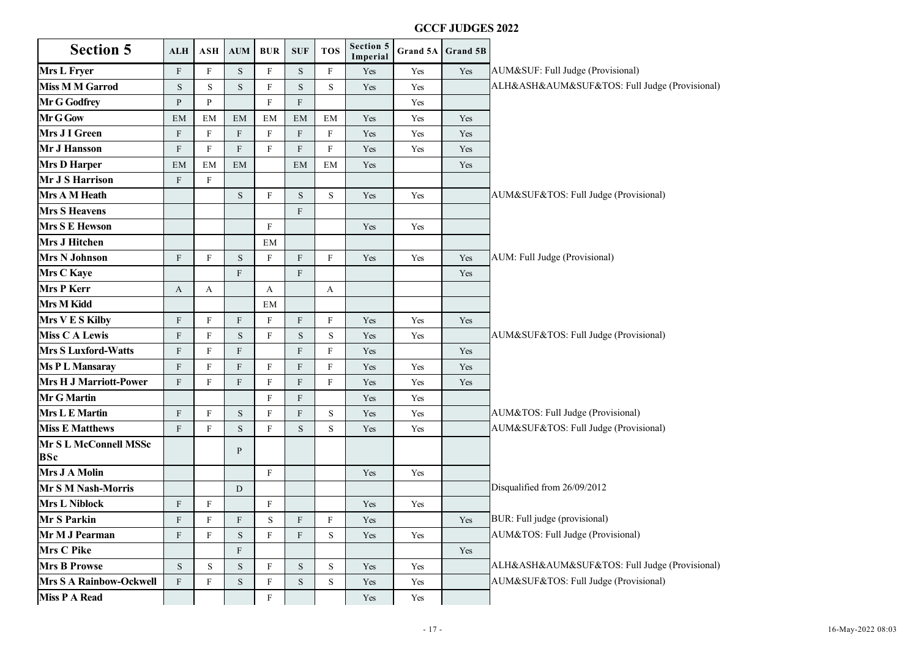| <b>Section 5</b>                    | <b>ALH</b>   | ASH          | <b>AUM</b>                | <b>BUR</b>   | <b>SUF</b>   | <b>TOS</b> | Section 5<br>Imperial | Grand 5A | Grand 5B |                                               |
|-------------------------------------|--------------|--------------|---------------------------|--------------|--------------|------------|-----------------------|----------|----------|-----------------------------------------------|
| <b>Mrs L Fryer</b>                  | $\mathbf{F}$ | F            | S                         | $_{\rm F}$   | S            | F          | Yes                   | Yes      | Yes      | AUM&SUF: Full Judge (Provisional)             |
| <b>Miss M M Garrod</b>              | S            | S            | $\mathbf S$               | $\mathbf{F}$ | S            | S          | Yes                   | Yes      |          | ALH&ASH&AUM&SUF&TOS: Full Judge (Provisional) |
| Mr G Godfrey                        | $\mathbf{P}$ | P            |                           | $\mathbf{F}$ | F            |            |                       | Yes      |          |                                               |
| Mr G Gow                            | EM           | EM           | EM                        | EM           | EM           | EM         | Yes                   | Yes      | Yes      |                                               |
| Mrs J I Green                       | $\rm F$      | $\mathbf{F}$ | ${\bf F}$                 | $\mathbf{F}$ | $\mathbf{F}$ | $_{\rm F}$ | Yes                   | Yes      | Yes      |                                               |
| Mr J Hansson                        | $\mathbf{F}$ | $_{\rm F}$   | $\boldsymbol{\mathrm{F}}$ | $\mathbf{F}$ | F            | F          | Yes                   | Yes      | Yes      |                                               |
| <b>Mrs D Harper</b>                 | EM           | EM           | EM                        |              | EM           | EM         | Yes                   |          | Yes      |                                               |
| Mr J S Harrison                     | F            | F            |                           |              |              |            |                       |          |          |                                               |
| Mrs A M Heath                       |              |              | S                         | F            | S            | S          | Yes                   | Yes      |          | AUM&SUF&TOS: Full Judge (Provisional)         |
| <b>Mrs S Heavens</b>                |              |              |                           |              | F            |            |                       |          |          |                                               |
| <b>Mrs S E Hewson</b>               |              |              |                           | $\mathbf F$  |              |            | Yes                   | Yes      |          |                                               |
| <b>Mrs J Hitchen</b>                |              |              |                           | EM           |              |            |                       |          |          |                                               |
| <b>Mrs N Johnson</b>                | F            | F            | S                         | $\mathbf{F}$ | F            | F          | Yes                   | Yes      | Yes      | AUM: Full Judge (Provisional)                 |
| <b>Mrs C Kaye</b>                   |              |              | F                         |              | F            |            |                       |          | Yes      |                                               |
| <b>Mrs P Kerr</b>                   | $\mathbf{A}$ | A            |                           | A            |              | A          |                       |          |          |                                               |
| Mrs M Kidd                          |              |              |                           | EM           |              |            |                       |          |          |                                               |
| Mrs V E S Kilby                     | $\mathbf{F}$ | $_{\rm F}$   | $\mathbf{F}$              | $_{\rm F}$   | $\mathbf{F}$ | F          | Yes                   | Yes      | Yes      |                                               |
| <b>Miss C A Lewis</b>               | $\mathbf{F}$ | $\mathbf{F}$ | S                         | $\mathbf{F}$ | S            | S          | Yes                   | Yes      |          | AUM&SUF&TOS: Full Judge (Provisional)         |
| <b>Mrs S Luxford-Watts</b>          | $\mathbf{F}$ | F            | $\mathbf{F}$              |              | F            | F          | Yes                   |          | Yes      |                                               |
| <b>Ms PL Mansaray</b>               | $\mathbf{F}$ | F            | $\mathbf{F}$              | F            | F            | $_{\rm F}$ | Yes                   | Yes      | Yes      |                                               |
| <b>Mrs H J Marriott-Power</b>       | F            | $_{\rm F}$   | $\mathbf{F}$              | $\mathbf{F}$ | F            | F          | Yes                   | Yes      | Yes      |                                               |
| <b>Mr G Martin</b>                  |              |              |                           | F            | F            |            | Yes                   | Yes      |          |                                               |
| Mrs L E Martin                      | F            | F            | ${\bf S}$                 | $\mathbf{F}$ | F            | S          | Yes                   | Yes      |          | AUM&TOS: Full Judge (Provisional)             |
| <b>Miss E Matthews</b>              | F            | F            | $\mathbf S$               | F            | S            | S          | Yes                   | Yes      |          | AUM&SUF&TOS: Full Judge (Provisional)         |
| Mr S L McConnell MSSc<br><b>BSc</b> |              |              | P                         |              |              |            |                       |          |          |                                               |
| Mrs J A Molin                       |              |              |                           | $\mathbf{F}$ |              |            | Yes                   | Yes      |          |                                               |
| Mr S M Nash-Morris                  |              |              | $\mathbf D$               |              |              |            |                       |          |          | Disqualified from 26/09/2012                  |
| <b>Mrs L Niblock</b>                | $\mathbf{F}$ | F            |                           | $\mathbf{F}$ |              |            | Yes                   | Yes      |          |                                               |
| <b>Mr S Parkin</b>                  | $\mathbf{F}$ | F            | ${\bf F}$                 | S            | F            | F          | Yes                   |          | Yes      | BUR: Full judge (provisional)                 |
| Mr M J Pearman                      | F            | F            | S                         | $\mathbf{F}$ | F            | S          | Yes                   | Yes      |          | AUM&TOS: Full Judge (Provisional)             |
| Mrs C Pike                          |              |              | ${\bf F}$                 |              |              |            |                       |          | Yes      |                                               |
| <b>Mrs B Prowse</b>                 | S            | S            | $\mathbf S$               | F            | ${\bf S}$    | S          | Yes                   | Yes      |          | ALH&ASH&AUM&SUF&TOS: Full Judge (Provisional) |
| <b>Mrs S A Rainbow-Ockwell</b>      | $\mathbf{F}$ | F            | S                         | F            | S            | S          | Yes                   | Yes      |          | AUM&SUF&TOS: Full Judge (Provisional)         |
| <b>Miss P A Read</b>                |              |              |                           | $\mathbf{F}$ |              |            | Yes                   | Yes      |          |                                               |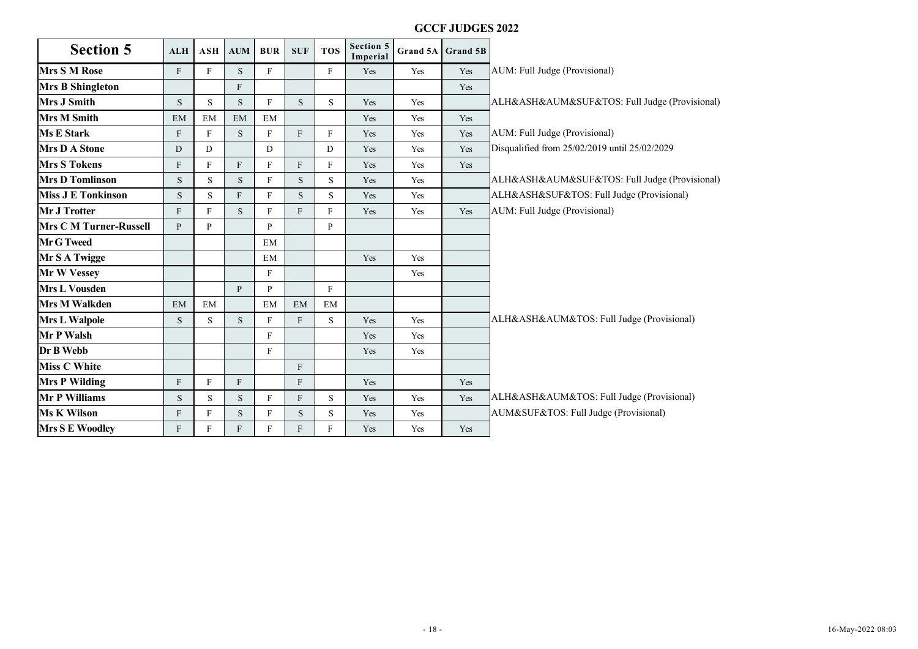|                               |               |               |              |              |              |             |                       |        | <b>GCCF JUDGES 2022</b> |                                               |
|-------------------------------|---------------|---------------|--------------|--------------|--------------|-------------|-----------------------|--------|-------------------------|-----------------------------------------------|
| <b>Section 5</b>              | <b>ALH</b>    | ASH           | AUM          | <b>BUR</b>   | <b>SUF</b>   | <b>TOS</b>  | Section 5<br>Imperial |        | Grand 5A Grand 5B       |                                               |
| <b>Mrs S M Rose</b>           | $\mathbf{F}$  | $_{\rm F}$    | S            | F            |              | ${\rm F}$   | Yes                   | Yes    | Yes                     | AUM: Full Judge (Provisional)                 |
| <b>Mrs B Shingleton</b>       |               |               | F            |              |              |             |                       |        | Yes                     |                                               |
| <b>Mrs J Smith</b>            | $\mathbf S$   | ${\bf S}$     | S            | $\mathbf{F}$ | ${\bf S}$    | ${\bf S}$   | Yes                   | Yes    |                         | ALH&ASH&AUM&SUF&TOS: Full Judge (Provisional) |
| <b>Mrs M Smith</b>            | EM            | EM            | EM           | EM           |              |             | Yes                   | Yes    | Yes                     |                                               |
| <b>Ms E Stark</b>             | ${\bf F}$     | $\mathbf F$   | S            | F            | $\mathbf F$  | F           | Yes                   | Yes    | Yes                     | AUM: Full Judge (Provisional)                 |
| <b>Mrs D A Stone</b>          | ${\rm D}$     | D             |              | D            |              | D           | Yes                   | Yes    | Yes                     | Disqualified from 25/02/2019 until 25/02/2029 |
| <b>Mrs S Tokens</b>           | $\mathbf F$   | $\mathbf F$   | F            | F            | F            | F           | Yes                   | Yes    | Yes                     |                                               |
| <b>Mrs D Tomlinson</b>        | S             | ${\bf S}$     | $\mathbf S$  | $\mathbf{F}$ | ${\bf S}$    | $\mathbf S$ | Yes                   | Yes    |                         | ALH&ASH&AUM&SUF&TOS: Full Judge (Provisional) |
| <b>Miss J E Tonkinson</b>     | ${\bf S}$     | ${\bf S}$     | F            | F            | S            | S           | Yes                   | Yes    |                         | ALH&ASH&SUF&TOS: Full Judge (Provisional)     |
| <b>Mr J Trotter</b>           | F             | $\mathbf F$   | ${\bf S}$    | F            | F            | F           | Yes                   | Yes    | Yes                     | AUM: Full Judge (Provisional)                 |
| <b>Mrs C M Turner-Russell</b> | $\mathbf{P}$  | $\, {\bf P}$  |              | ${\bf P}$    |              | P           |                       |        |                         |                                               |
| Mr G Tweed                    |               |               |              | EM           |              |             |                       |        |                         |                                               |
| Mr S A Twigge                 |               |               |              | EM           |              |             | Yes                   | Yes    |                         |                                               |
| Mr W Vessey                   |               |               |              | F            |              |             |                       | Yes    |                         |                                               |
| <b>Mrs L Vousden</b>          |               |               | $\mathbf{p}$ | ${\bf P}$    |              | $\rm F$     |                       |        |                         |                                               |
| <b>Mrs M Walkden</b>          | $\mathrm{EM}$ | $\mathrm{EM}$ |              | EM           | EM           | EM          |                       |        |                         |                                               |
| <b>Mrs L Walpole</b>          | S             | ${\bf S}$     | $\mathbf S$  | F            | F            | $\mathbf S$ | Yes                   | Yes    |                         | ALH&ASH&AUM&TOS: Full Judge (Provisional)     |
| Mr P Walsh                    |               |               |              | F            |              |             | Yes                   | Yes    |                         |                                               |
| Dr B Webb                     |               |               |              | $\mathbf{F}$ |              |             | Yes                   | Yes    |                         |                                               |
| <b>Miss C White</b>           |               |               |              |              | F            |             |                       |        |                         |                                               |
| <b>Mrs P Wilding</b>          | $\mathbf F$   | ${\bf F}$     | $\mathbf{F}$ |              | $\mathbf F$  |             | Yes                   |        | Yes                     |                                               |
| <b>Mr P Williams</b>          | ${\bf S}$     | S             | $\mathbf S$  | F            | $\mathbf{F}$ | S           | Yes                   | Yes    | Yes                     | ALH&ASH&AUM&TOS: Full Judge (Provisional)     |
| <b>Ms K Wilson</b>            | $\mathbf F$   | $\mathbf F$   | ${\bf S}$    | $\rm F$      | ${\bf S}$    | ${\bf S}$   | Yes                   | Yes    |                         | AUM&SUF&TOS: Full Judge (Provisional)         |
| <b>Mrs S E Woodley</b>        | F             | $\mathbf{F}$  | F            | $\mathbf{F}$ | F            | F           | Yes                   | Yes    | Yes                     |                                               |
|                               |               |               |              |              |              |             |                       |        |                         |                                               |
|                               |               |               |              |              |              |             |                       | $-18-$ |                         | 16-May-2022 08:03                             |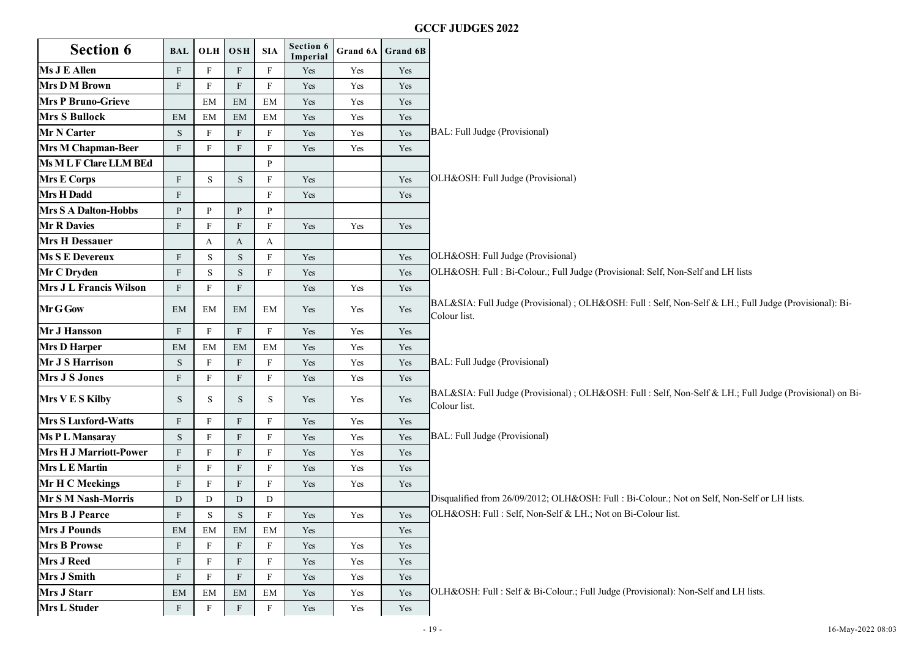### Section 6 **BAL**  $\begin{bmatrix} 0 & 0 \\ 0 & 0 \end{bmatrix}$  SIA  $\begin{bmatrix} 0 & 0 \\ 0 & 0 \end{bmatrix}$  SIA  $\begin{bmatrix} 0 & 0 \\ 0 & 0 \end{bmatrix}$  Section 6 **Imperial Grand 6A Grand 6B Ms J E Allen** F F F F F Yes Yes Yes Yes Yes **Mrs D M Brown** F F F F Yes Yes Yes Yes **Mrs P Bruno-Grieve EM EM EM** EM Yes Yes Yes **Mrs S Bullock** EM EM EM EM Yes Yes Yes Yes **Mr N Carter** S F F F F Yes Yes BAL: Full Judge (Provisional) **Mrs M Chapman-Beer** F F F F F Yes Yes Yes Yes **Ms M L F Clare LLM BEd** P **Mrs E Corps** F S S F Yes T Yes OLH&OSH: Full Judge (Provisional) **Mrs H Dadd** F F F Yes Yes Yes Yes **Mrs S A Dalton-Hobbs** P P P P P P **Mr R Davies F** F F F F F Yes Yes Yes Yes **Mrs H Dessauer A** A A A A **Ms S E Devereux** F S S F Yes Yes OLH&OSH: Full Judge (Provisional) **Mr C Dryden** F S S F Yes Yes OLH&OSH: Full : Bi-Colour.; Full Judge (Provisional: Self, Non-Self and LH lists **Mrs J L Francis Wilson** F F F F Yes Yes Yes Yes **Mr G Gow** EM EM EM EM EM Yes Yes Yes BAL&SIA: Full Judge (Provisional) ; OLH&OSH: Full : Self, Non-Self & LH.; Full Judge (Provisional): Bi-Colour list. **Mr J Hansson** F F F F Yes Yes Yes Yes **Mrs D Harper** EM EM EM EM Yes Yes Yes Yes **Mr J S Harrison** S F F F F Yes Yes Yes BAL: Full Judge (Provisional) **Mrs J S Jones** F F F F Yes Yes Yes Yes Yes **Mrs V E S Kilby** S S S S S Yes Yes Yes Yes Yes BAL&SIA: Full Judge (Provisional) ; OLH&OSH: Full : Self, Non-Self & LH.; Full Judge (Provisional) on Bi-Colour list. **Mrs S Luxford-Watts** F F F F Yes Yes Yes Yes **Ms P L Mansaray** S F F F Yes Yes Yes BAL: Full Judge (Provisional) **Mrs H J Marriott-Power** F F F F F Yes Yes Yes **Mrs L E Martin** F F F F F Yes Yes Yes Yes **Mr H C Meekings** F F F F Yes Yes Yes Yes **Mr S M Nash-Morris** D D D D D D D D D D Disqualified from 26/09/2012; OLH&OSH: Full : Bi-Colour.; Not on Self, Non-Self or LH lists. **Mrs B J Pearce** F S S F Yes Yes Yes OLH&OSH: Full : Self, Non-Self & LH.; Not on Bi-Colour list. **Mrs J Pounds** EM EM EM EM Yes Yes Yes Yes **Mrs B Prowse** F F F F F Yes Yes Yes Yes **Mrs J Reed** F F F F F Yes Yes Yes Yes **Mrs J Smith** F F F F F Yes Yes Yes Yes **Mrs J Starr** EM EM EM EM Yes Yes Yes OLH&OSH: Full : Self & Bi-Colour.; Full Judge (Provisional): Non-Self and LH lists. **Mrs L Studer F** F F F F Yes Yes Yes Yes GCCF JUDGES 2022<br>
- 19 - 1140 Judge (Provisional)<br>
- 19 - 1140 Judge (Provisional)<br>
- 19 - 1140 Judge (Provisional)<br>
- 19 - 1140 Judge (Provisional)<br>
- 19 - 1140 Judge (Provisional)<br>
- 19 - 19 - 19 - 19 - 1140 Judge (Provi